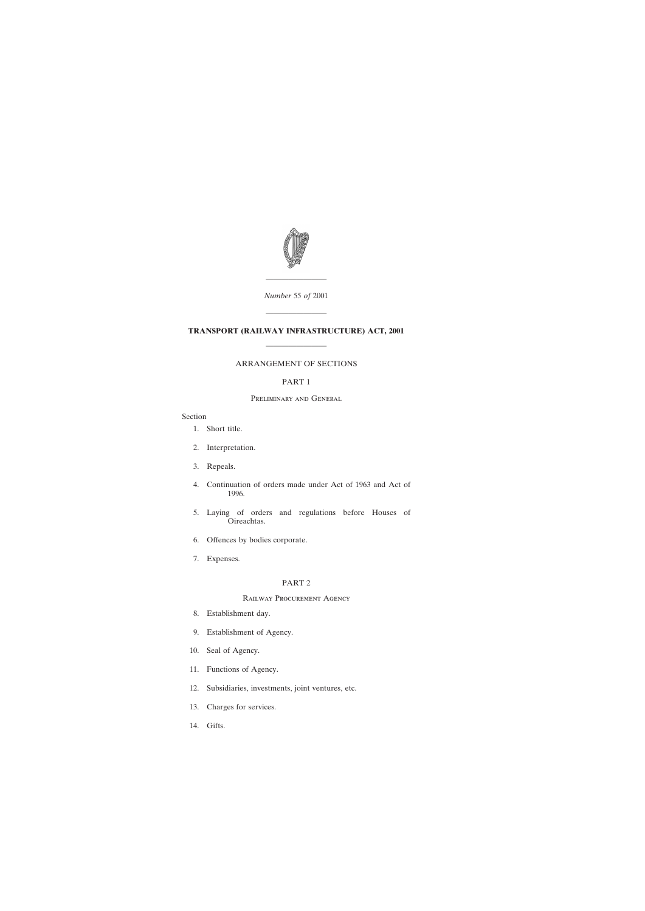

*Number* 55 *of* 2001

————————

————————

# **TRANSPORT (RAILWAY INFRASTRUCTURE) ACT, 2001** ————————

# ARRANGEMENT OF SECTIONS

# PART 1

# Preliminary and General

# Section

- [1. Short title.](#page-4-0)
- [2. Interpretation.](#page-4-0)
- [3. Repeals.](#page-6-0)
- [4. Continuation of orders made under Act of 1963 and Act of](#page-6-0) [1996.](#page-6-0)
- [5. Laying of orders and regulations before Houses of](#page-7-0) [Oireachtas.](#page-7-0)
- [6. Offences by bodies corporate.](#page-7-0)
- [7. Expenses.](#page-7-0)

#### PART 2

#### Railway Procurement Agency

- [8. Establishment day.](#page-7-0)
- [9. Establishment of Agency.](#page-7-0)
- [10. Seal of Agency.](#page-7-0)
- [11. Functions of Agency.](#page-8-0)
- [12. Subsidiaries, investments, joint ventures, etc.](#page-9-0)
- [13. Charges for services.](#page-9-0)
- [14. Gifts.](#page-9-0)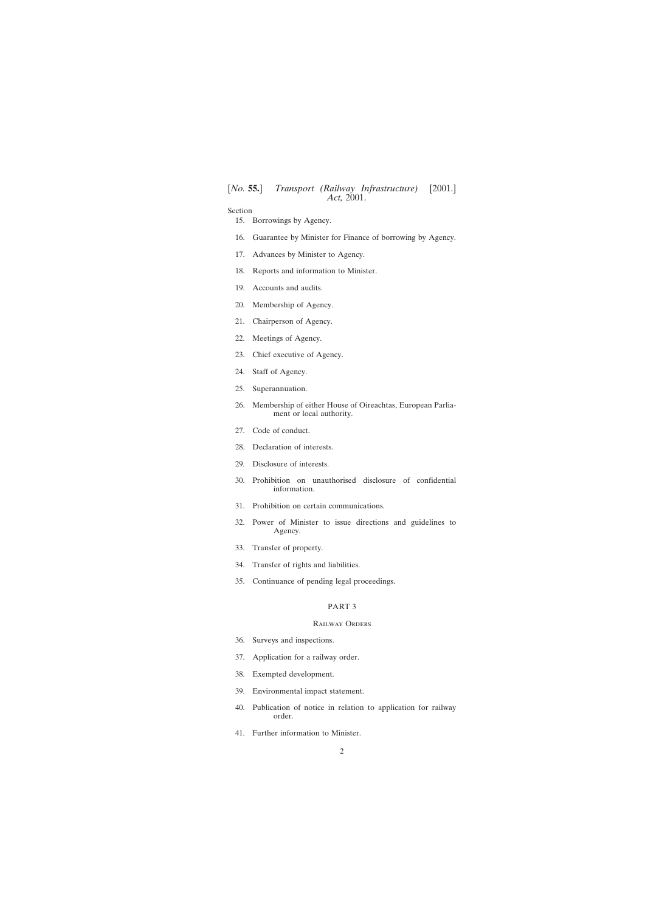Section

[15. Borrowings by Agency.](#page-9-0)

- [16. Guarantee by Minister for Finance of borrowing by Agency.](#page-10-0)
- [17. Advances by Minister to Agency.](#page-11-0)
- [18. Reports and information to Minister.](#page-11-0)
- [19. Accounts and audits.](#page-11-0)
- [20. Membership of Agency.](#page-12-0)
- [21. Chairperson of Agency.](#page-13-0)
- [22. Meetings of Agency.](#page-14-0)
- [23. Chief executive of Agency.](#page-14-0)
- [24. Staff of Agency.](#page-15-0)
- [25. Superannuation.](#page-15-0)
- [26. Membership of either House of Oireachtas, European Parlia](#page-16-0)[ment or local authority.](#page-16-0)
- [27. Code of conduct.](#page-17-0)
- [28. Declaration of interests.](#page-17-0)
- [29. Disclosure of interests.](#page-19-0)
- [30. Prohibition on unauthorised disclosure of confidential](#page-20-0) [information.](#page-20-0)
- [31. Prohibition on certain communications.](#page-21-0)
- [32. Power of Minister to issue directions and guidelines to](#page-22-0) [Agency.](#page-22-0)
- [33. Transfer of property.](#page-22-0)
- [34. Transfer of rights and liabilities.](#page-22-0)
- [35. Continuance of pending legal proceedings.](#page-23-0)

#### PART 3

## Railway Orders

- [36. Surveys and inspections.](#page-23-0)
- [37. Application for a railway order.](#page-24-0)
- [38. Exempted development.](#page-24-0)
- [39. Environmental impact statement.](#page-24-0)
- [40. Publication of notice in relation to application for railway](#page-26-0) [order.](#page-26-0)
- [41. Further information to Minister.](#page-27-0)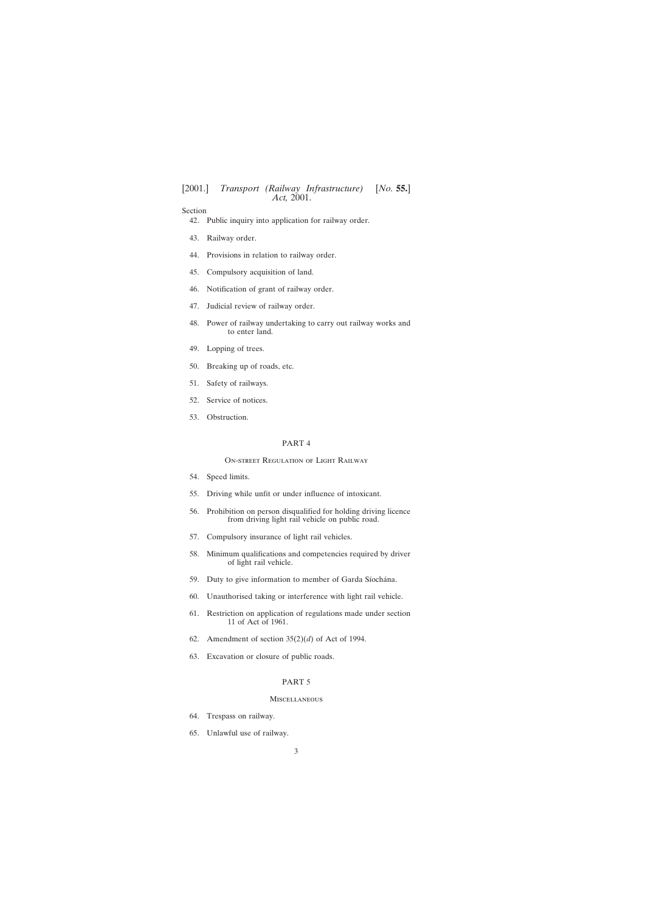# Section

[42. Public inquiry into application for railway order.](#page-28-0)

- [43. Railway order.](#page-31-0)
- [44. Provisions in relation to railway order.](#page-33-0)
- [45. Compulsory acquisition of land.](#page-34-0)
- [46. Notification of grant of railway order.](#page-34-0)
- [47. Judicial review of railway order.](#page-34-0)
- [48. Power of railway undertaking to carry out railway works and](#page-36-0) [to enter land.](#page-36-0)
- [49. Lopping of trees.](#page-37-0)
- [50. Breaking up of roads, etc.](#page-38-0)
- [51. Safety of railways.](#page-39-0)
- [52. Service of notices.](#page-39-0)
- [53. Obstruction.](#page-40-0)

### PART 4

#### On-street Regulation of Light Railway

- [54. Speed limits.](#page-40-0)
- [55. Driving while unfit or under influence of intoxicant.](#page-41-0)
- [56. Prohibition on person disqualified for holding driving licence](#page-41-0) [from driving light rail vehicle on public road.](#page-41-0)
- [57. Compulsory insurance of light rail vehicles.](#page-41-0)
- [58. Minimum qualifications and competencies required by driver](#page-42-0) [of light rail vehicle.](#page-42-0)
- 59. Duty to give information to member of Garda Síochána.
- [60. Unauthorised taking or interference with light rail vehicle.](#page-42-0)
- [61. Restriction on application of regulations made under section](#page-42-0) [11 of Act of 1961.](#page-42-0)
- 62. Amendment of section  $35(2)(d)$  of Act of 1994.
- [63. Excavation or closure of public roads.](#page-42-0)

# PART 5

## Miscellaneous

- [64. Trespass on railway.](#page-43-0)
- [65. Unlawful use of railway.](#page-43-0)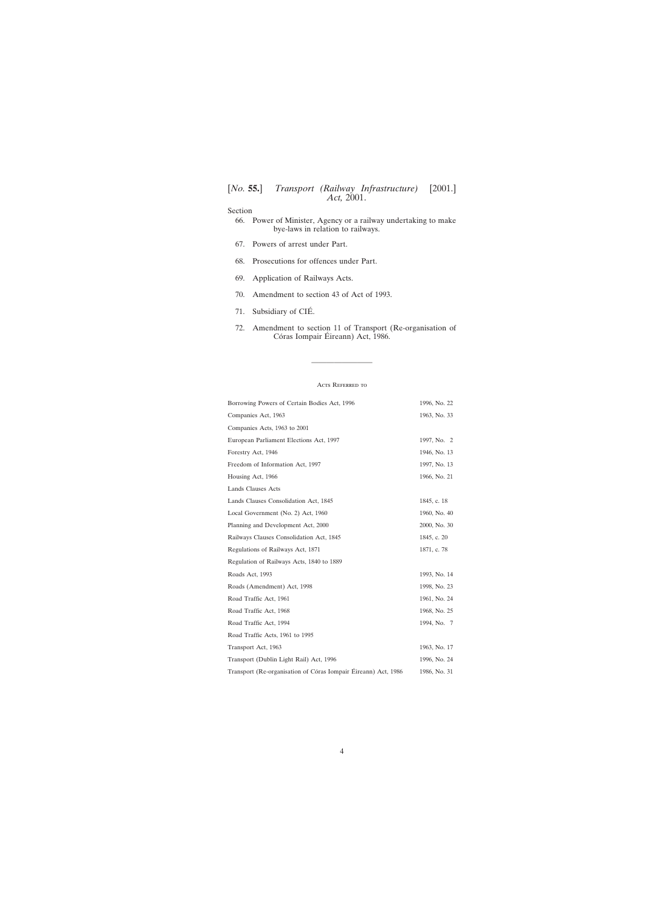# Section

- [66. Power of Minister, Agency or a railway undertaking to make](#page-43-0) [bye-laws in relation to railways.](#page-43-0)
- [67. Powers of arrest under Part.](#page-44-0)
- [68. Prosecutions for offences under Part.](#page-44-0)
- [69. Application of Railways Acts.](#page-45-0)
- [70. Amendment to section 43 of Act of 1993.](#page-45-0)
- 71. Subsidiary of CIÉ.
- [72. Amendment to section 11 of Transport \(Re-organisation of](#page-45-0) Córas Iompair Éireann) Act, 1986.

#### ACTS REFERRED TO

————————

| Borrowing Powers of Certain Bodies Act, 1996                   | 1996, No. 22 |
|----------------------------------------------------------------|--------------|
| Companies Act, 1963                                            | 1963, No. 33 |
| Companies Acts, 1963 to 2001                                   |              |
| European Parliament Elections Act, 1997                        | 1997, No. 2  |
| Forestry Act, 1946                                             | 1946, No. 13 |
| Freedom of Information Act, 1997                               | 1997, No. 13 |
| Housing Act, 1966                                              | 1966, No. 21 |
| Lands Clauses Acts                                             |              |
| Lands Clauses Consolidation Act, 1845                          | 1845, c. 18  |
| Local Government (No. 2) Act, 1960                             | 1960, No. 40 |
| Planning and Development Act, 2000                             | 2000, No. 30 |
| Railways Clauses Consolidation Act, 1845                       | 1845, c. 20  |
| Regulations of Railways Act, 1871                              | 1871, c. 78  |
| Regulation of Railways Acts, 1840 to 1889                      |              |
| Roads Act, 1993                                                | 1993, No. 14 |
| Roads (Amendment) Act, 1998                                    | 1998, No. 23 |
| Road Traffic Act, 1961                                         | 1961, No. 24 |
| Road Traffic Act, 1968                                         | 1968, No. 25 |
| Road Traffic Act, 1994                                         | 1994, No. 7  |
| Road Traffic Acts, 1961 to 1995                                |              |
| Transport Act, 1963                                            | 1963, No. 17 |
| Transport (Dublin Light Rail) Act, 1996                        | 1996, No. 24 |
| Transport (Re-organisation of Córas Iompair Éireann) Act, 1986 | 1986, No. 31 |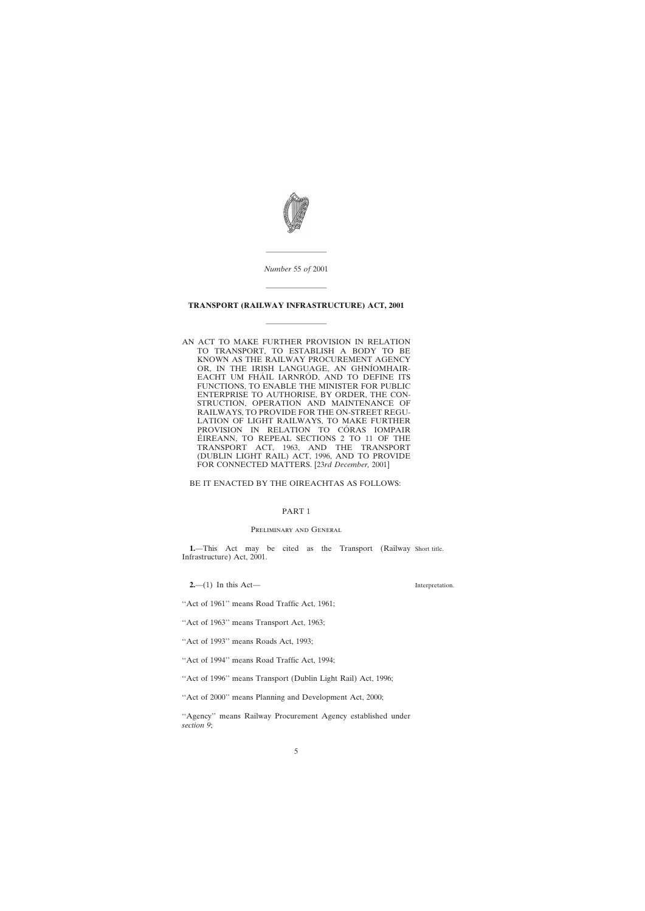<span id="page-4-0"></span>

*Number* 55 *of* 2001

————————

#### **TRANSPORT (RAILWAY INFRASTRUCTURE) ACT, 2001**

————————

————————

AN ACT TO MAKE FURTHER PROVISION IN RELATION TO TRANSPORT, TO ESTABLISH A BODY TO BE KNOWN AS THE RAILWAY PROCUREMENT AGENCY OR, IN THE IRISH LANGUAGE, AN GHNÍOMHAIR-EACHT UM FHÁIL IARNRÓD, AND TO DEFINE ITS FUNCTIONS, TO ENABLE THE MINISTER FOR PUBLIC ENTERPRISE TO AUTHORISE, BY ORDER, THE CON-STRUCTION, OPERATION AND MAINTENANCE OF RAILWAYS, TO PROVIDE FOR THE ON-STREET REGU-LATION OF LIGHT RAILWAYS, TO MAKE FURTHER PROVISION IN RELATION TO CÓRAS IOMPAIR ÉIREANN, TO REPEAL SECTIONS 2 TO 11 OF THE TRANSPORT ACT, 1963, AND THE TRANSPORT (DUBLIN LIGHT RAIL) ACT, 1996, AND TO PROVIDE FOR CONNECTED MATTERS. [23*rd December,* 2001]

# BE IT ENACTED BY THE OIREACHTAS AS FOLLOWS:

#### PART 1

#### Preliminary and General

**1.**—This Act may be cited as the Transport (Railway Short title. Infrastructure) Act, 2001.

**2.**—(1) In this Act—

"Act of 1961" means Road Traffic Act, 1961;

"Act of 1963" means Transport Act, 1963;

''Act of 1993'' means Roads Act, 1993;

''Act of 1994'' means Road Traffic Act, 1994;

''Act of 1996'' means Transport (Dublin Light Rail) Act, 1996;

''Act of 2000'' means Planning and Development Act, 2000;

"Agency" means Railway Procurement Agency established under *section 9*;

Interpretation.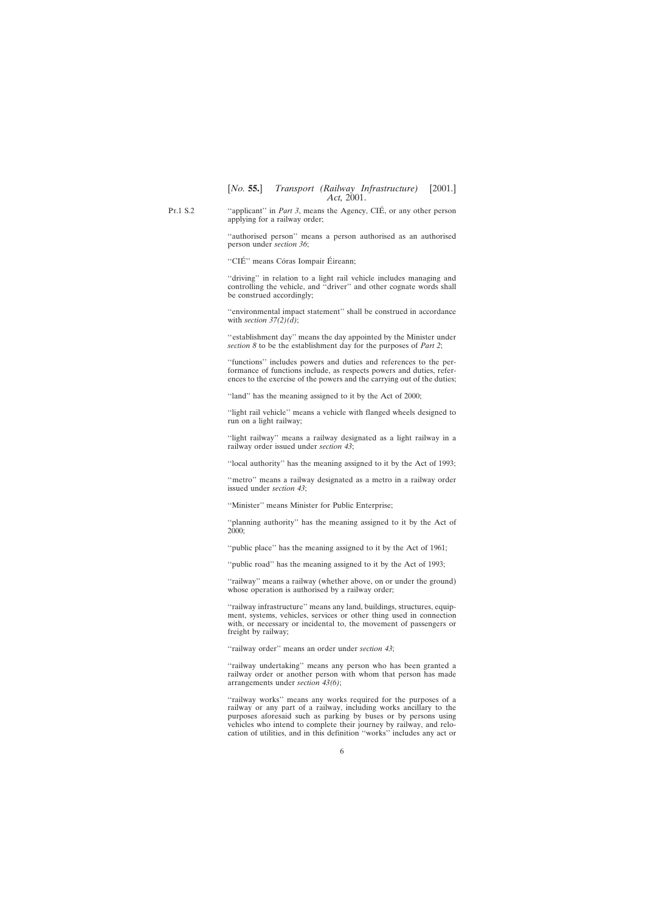Pt.1 S.2 "applicant" in *Part 3*, means the Agency, CIÉ, or any other person applying for a railway order;

> ''authorised person'' means a person authorised as an authorised person under *section 36*;

"CIÉ" means Córas Iompair Éireann;

''driving'' in relation to a light rail vehicle includes managing and controlling the vehicle, and ''driver'' and other cognate words shall be construed accordingly;

''environmental impact statement'' shall be construed in accordance with *section 37(2)(d)*;

''establishment day'' means the day appointed by the Minister under *section 8* to be the establishment day for the purposes of *Part 2*;

''functions'' includes powers and duties and references to the performance of functions include, as respects powers and duties, references to the exercise of the powers and the carrying out of the duties;

''land'' has the meaning assigned to it by the Act of 2000;

''light rail vehicle'' means a vehicle with flanged wheels designed to run on a light railway;

''light railway'' means a railway designated as a light railway in a railway order issued under *section 43*;

''local authority'' has the meaning assigned to it by the Act of 1993;

''metro'' means a railway designated as a metro in a railway order issued under *section 43*;

''Minister'' means Minister for Public Enterprise;

''planning authority'' has the meaning assigned to it by the Act of 2000;

''public place'' has the meaning assigned to it by the Act of 1961;

"
public road" has the meaning assigned to it by the Act of 1993;

"railway" means a railway (whether above, on or under the ground) whose operation is authorised by a railway order;

"railway infrastructure" means any land, buildings, structures, equipment, systems, vehicles, services or other thing used in connection with, or necessary or incidental to, the movement of passengers or freight by railway;

''railway order'' means an order under *section 43*;

"railway undertaking" means any person who has been granted a railway order or another person with whom that person has made arrangements under *section 43(6)*;

''railway works'' means any works required for the purposes of a railway or any part of a railway, including works ancillary to the purposes aforesaid such as parking by buses or by persons using vehicles who intend to complete their journey by railway, and relocation of utilities, and in this definition ''works'' includes any act or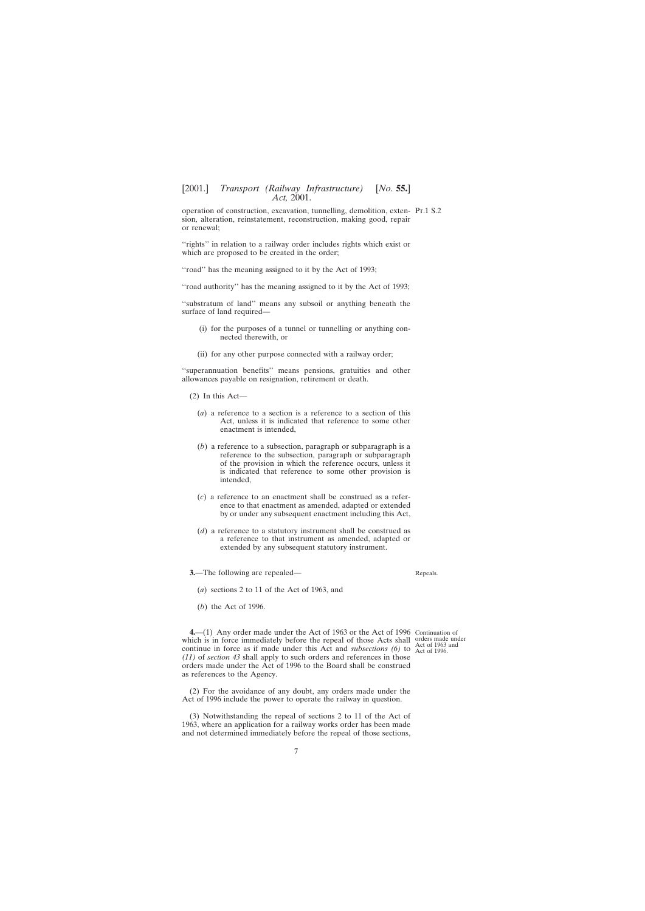<span id="page-6-0"></span>operation of construction, excavation, tunnelling, demolition, exten-Pt.1 S.2 sion, alteration, reinstatement, reconstruction, making good, repair or renewal;

"rights" in relation to a railway order includes rights which exist or which are proposed to be created in the order;

"road" has the meaning assigned to it by the Act of 1993;

"road authority" has the meaning assigned to it by the Act of 1993;

''substratum of land'' means any subsoil or anything beneath the surface of land required—

- (i) for the purposes of a tunnel or tunnelling or anything connected therewith, or
- (ii) for any other purpose connected with a railway order;

''superannuation benefits'' means pensions, gratuities and other allowances payable on resignation, retirement or death.

- (2) In this Act—
	- (*a*) a reference to a section is a reference to a section of this Act, unless it is indicated that reference to some other enactment is intended,
	- (*b*) a reference to a subsection, paragraph or subparagraph is a reference to the subsection, paragraph or subparagraph of the provision in which the reference occurs, unless it is indicated that reference to some other provision is intended,
	- (*c*) a reference to an enactment shall be construed as a reference to that enactment as amended, adapted or extended by or under any subsequent enactment including this Act,
	- (*d*) a reference to a statutory instrument shall be construed as a reference to that instrument as amended, adapted or extended by any subsequent statutory instrument.

**3.**—The following are repealed—

Repeals.

- (*a*) sections 2 to 11 of the Act of 1963, and
- (*b*) the Act of 1996.

**4.**—(1) Any order made under the Act of 1963 or the Act of 1996 Continuation of which is in force immediately before the repeal of those Acts shall orders made under continue in force as if made under this Act and *subsections* (6) to  $\frac{120}{\text{Act of 1996}}$ . *(11)* of *section 43* shall apply to such orders and references in those orders made under the Act of 1996 to the Board shall be construed as references to the Agency.

(2) For the avoidance of any doubt, any orders made under the Act of 1996 include the power to operate the railway in question.

(3) Notwithstanding the repeal of sections 2 to 11 of the Act of 1963, where an application for a railway works order has been made and not determined immediately before the repeal of those sections,

Act of 1963 and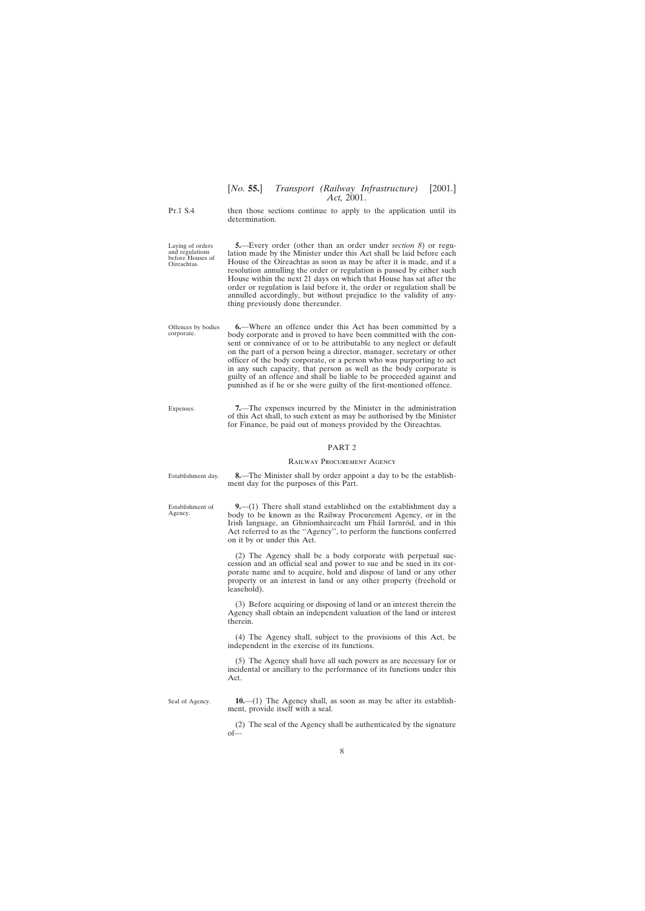<span id="page-7-0"></span>Pt.1 S.4

Laying of orders and regulations before Houses of Oireachtas.

then those sections continue to apply to the application until its determination.

**5.**—Every order (other than an order under *section 8*) or regulation made by the Minister under this Act shall be laid before each House of the Oireachtas as soon as may be after it is made, and if a resolution annulling the order or regulation is passed by either such House within the next 21 days on which that House has sat after the order or regulation is laid before it, the order or regulation shall be annulled accordingly, but without prejudice to the validity of anything previously done thereunder.

Offences by bodies corporate. **6.**—Where an offence under this Act has been committed by a body corporate and is proved to have been committed with the consent or connivance of or to be attributable to any neglect or default on the part of a person being a director, manager, secretary or other officer of the body corporate, or a person who was purporting to act in any such capacity, that person as well as the body corporate is guilty of an offence and shall be liable to be proceeded against and punished as if he or she were guilty of the first-mentioned offence.

Expenses. **7.**—The expenses incurred by the Minister in the administration of this Act shall, to such extent as may be authorised by the Minister for Finance, be paid out of moneys provided by the Oireachtas.

ment day for the purposes of this Part.

#### PART 2

# Railway Procurement Agency **8.**—The Minister shall by order appoint a day to be the establish-

Establishment day.

Establishment of Agency.

**9.**—(1) There shall stand established on the establishment day a body to be known as the Railway Procurement Agency, or in the Irish language, an Ghníomhaireacht um Fháil Iarnród, and in this Act referred to as the ''Agency'', to perform the functions conferred on it by or under this Act.

(2) The Agency shall be a body corporate with perpetual succession and an official seal and power to sue and be sued in its corporate name and to acquire, hold and dispose of land or any other property or an interest in land or any other property (freehold or leasehold).

(3) Before acquiring or disposing of land or an interest therein the Agency shall obtain an independent valuation of the land or interest therein.

(4) The Agency shall, subject to the provisions of this Act, be independent in the exercise of its functions.

(5) The Agency shall have all such powers as are necessary for or incidental or ancillary to the performance of its functions under this Act.

Seal of Agency.

**10.**—(1) The Agency shall, as soon as may be after its establishment, provide itself with a seal.

(2) The seal of the Agency shall be authenticated by the signature of—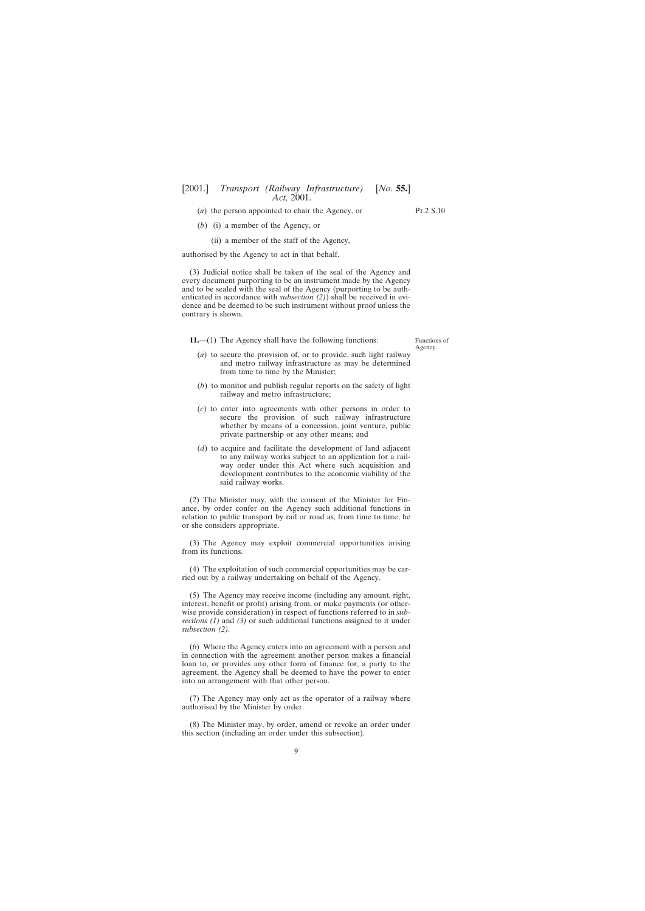- <span id="page-8-0"></span>(*a*) the person appointed to chair the Agency, or
- (*b*) (i) a member of the Agency, or
	- (ii) a member of the staff of the Agency,

authorised by the Agency to act in that behalf.

(3) Judicial notice shall be taken of the seal of the Agency and every document purporting to be an instrument made by the Agency and to be sealed with the seal of the Agency (purporting to be authenticated in accordance with *subsection (2)*) shall be received in evidence and be deemed to be such instrument without proof unless the contrary is shown.

**11.**—(1) The Agency shall have the following functions:

Functions of Agency.

- (*a*) to secure the provision of, or to provide, such light railway and metro railway infrastructure as may be determined from time to time by the Minister;
- (*b*) to monitor and publish regular reports on the safety of light railway and metro infrastructure;
- (*c*) to enter into agreements with other persons in order to secure the provision of such railway infrastructure whether by means of a concession, joint venture, public private partnership or any other means; and
- (*d*) to acquire and facilitate the development of land adjacent to any railway works subject to an application for a railway order under this Act where such acquisition and development contributes to the economic viability of the said railway works.

(2) The Minister may, with the consent of the Minister for Finance, by order confer on the Agency such additional functions in relation to public transport by rail or road as, from time to time, he or she considers appropriate.

(3) The Agency may exploit commercial opportunities arising from its functions.

(4) The exploitation of such commercial opportunities may be carried out by a railway undertaking on behalf of the Agency.

(5) The Agency may receive income (including any amount, right, interest, benefit or profit) arising from, or make payments (or otherwise provide consideration) in respect of functions referred to in *subsections (1)* and *(3)* or such additional functions assigned to it under *subsection (2)*.

(6) Where the Agency enters into an agreement with a person and in connection with the agreement another person makes a financial loan to, or provides any other form of finance for, a party to the agreement, the Agency shall be deemed to have the power to enter into an arrangement with that other person.

(7) The Agency may only act as the operator of a railway where authorised by the Minister by order.

(8) The Minister may, by order, amend or revoke an order under this section (including an order under this subsection).

Pt.2 S.10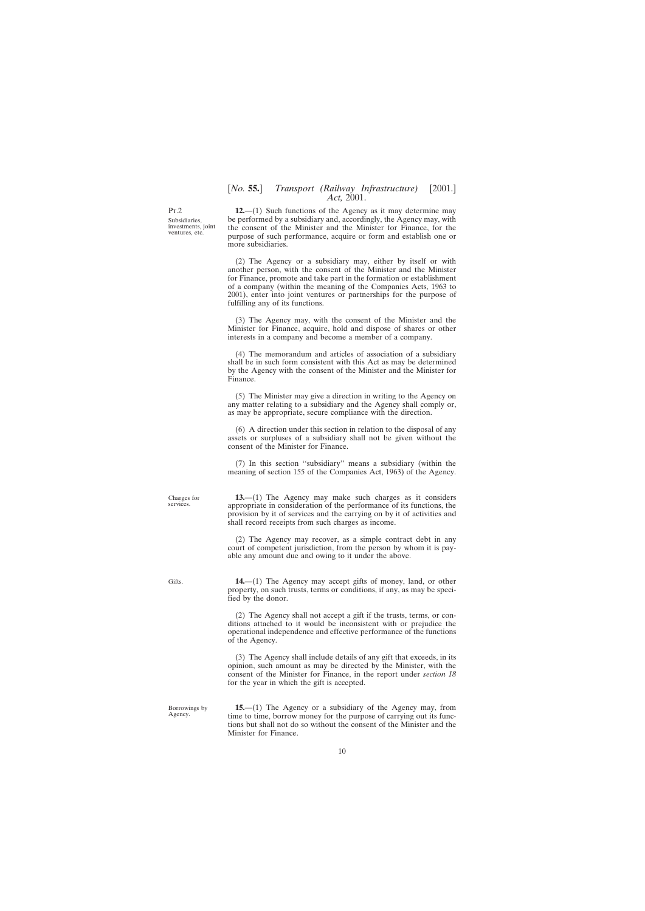<span id="page-9-0"></span>Pt.2 Subsidiaries, investments, joint ventures, etc.

**12.**—(1) Such functions of the Agency as it may determine may be performed by a subsidiary and, accordingly, the Agency may, with the consent of the Minister and the Minister for Finance, for the purpose of such performance, acquire or form and establish one or more subsidiaries.

(2) The Agency or a subsidiary may, either by itself or with another person, with the consent of the Minister and the Minister for Finance, promote and take part in the formation or establishment of a company (within the meaning of the Companies Acts, 1963 to 2001), enter into joint ventures or partnerships for the purpose of fulfilling any of its functions.

(3) The Agency may, with the consent of the Minister and the Minister for Finance, acquire, hold and dispose of shares or other interests in a company and become a member of a company.

(4) The memorandum and articles of association of a subsidiary shall be in such form consistent with this Act as may be determined by the Agency with the consent of the Minister and the Minister for Finance.

(5) The Minister may give a direction in writing to the Agency on any matter relating to a subsidiary and the Agency shall comply or, as may be appropriate, secure compliance with the direction.

(6) A direction under this section in relation to the disposal of any assets or surpluses of a subsidiary shall not be given without the consent of the Minister for Finance.

(7) In this section ''subsidiary'' means a subsidiary (within the meaning of section 155 of the Companies Act, 1963) of the Agency.

**13.**—(1) The Agency may make such charges as it considers appropriate in consideration of the performance of its functions, the provision by it of services and the carrying on by it of activities and shall record receipts from such charges as income.

(2) The Agency may recover, as a simple contract debt in any court of competent jurisdiction, from the person by whom it is payable any amount due and owing to it under the above.

**14.**—(1) The Agency may accept gifts of money, land, or other property, on such trusts, terms or conditions, if any, as may be specified by the donor.

(2) The Agency shall not accept a gift if the trusts, terms, or conditions attached to it would be inconsistent with or prejudice the operational independence and effective performance of the functions of the Agency.

(3) The Agency shall include details of any gift that exceeds, in its opinion, such amount as may be directed by the Minister, with the consent of the Minister for Finance, in the report under *section 18* for the year in which the gift is accepted.

Borrowings by Agency.

**15.**—(1) The Agency or a subsidiary of the Agency may, from time to time, borrow money for the purpose of carrying out its functions but shall not do so without the consent of the Minister and the Minister for Finance.

Charges for services.

Gifts.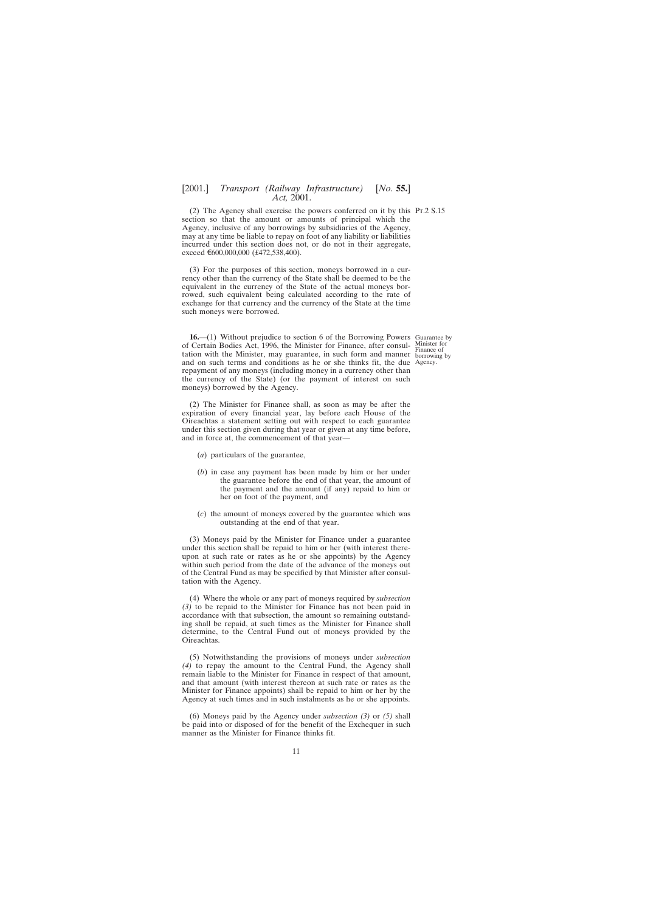<span id="page-10-0"></span>(2) The Agency shall exercise the powers conferred on it by this Pt.2 S.15 section so that the amount or amounts of principal which the Agency, inclusive of any borrowings by subsidiaries of the Agency, may at any time be liable to repay on foot of any liability or liabilities incurred under this section does not, or do not in their aggregate, exceed €600,000,000 (£472,538,400).

(3) For the purposes of this section, moneys borrowed in a currency other than the currency of the State shall be deemed to be the equivalent in the currency of the State of the actual moneys borrowed, such equivalent being calculated according to the rate of exchange for that currency and the currency of the State at the time such moneys were borrowed.

**16.**—(1) Without prejudice to section 6 of the Borrowing Powers Guarantee by of Certain Bodies Act, 1996, the Minister for Finance, after consul- Minister for tation with the Minister, may guarantee, in such form and manner borrowing by and on such terms and conditions as he or she thinks fit, the due Agency.repayment of any moneys (including money in a currency other than the currency of the State) (or the payment of interest on such moneys) borrowed by the Agency.

(2) The Minister for Finance shall, as soon as may be after the expiration of every financial year, lay before each House of the Oireachtas a statement setting out with respect to each guarantee under this section given during that year or given at any time before, and in force at, the commencement of that year—

- (*a*) particulars of the guarantee,
- (*b*) in case any payment has been made by him or her under the guarantee before the end of that year, the amount of the payment and the amount (if any) repaid to him or her on foot of the payment, and
- (*c*) the amount of moneys covered by the guarantee which was outstanding at the end of that year.

(3) Moneys paid by the Minister for Finance under a guarantee under this section shall be repaid to him or her (with interest thereupon at such rate or rates as he or she appoints) by the Agency within such period from the date of the advance of the moneys out of the Central Fund as may be specified by that Minister after consultation with the Agency.

(4) Where the whole or any part of moneys required by *subsection (3)* to be repaid to the Minister for Finance has not been paid in accordance with that subsection, the amount so remaining outstanding shall be repaid, at such times as the Minister for Finance shall determine, to the Central Fund out of moneys provided by the Oireachtas.

(5) Notwithstanding the provisions of moneys under *subsection (4)* to repay the amount to the Central Fund, the Agency shall remain liable to the Minister for Finance in respect of that amount, and that amount (with interest thereon at such rate or rates as the Minister for Finance appoints) shall be repaid to him or her by the Agency at such times and in such instalments as he or she appoints.

(6) Moneys paid by the Agency under *subsection (3)* or *(5)* shall be paid into or disposed of for the benefit of the Exchequer in such manner as the Minister for Finance thinks fit.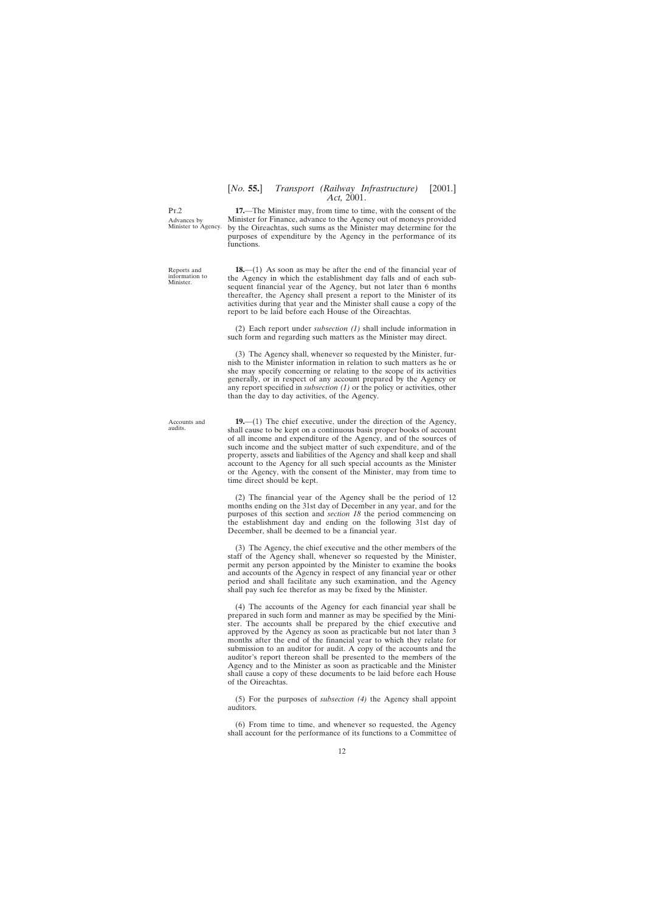Advances by Minister to Agency.

Reports and information to Minister.

**17.**—The Minister may, from time to time, with the consent of the Minister for Finance, advance to the Agency out of moneys provided by the Oireachtas, such sums as the Minister may determine for the purposes of expenditure by the Agency in the performance of its functions.

**18.**—(1) As soon as may be after the end of the financial year of the Agency in which the establishment day falls and of each subsequent financial year of the Agency, but not later than 6 months thereafter, the Agency shall present a report to the Minister of its activities during that year and the Minister shall cause a copy of the report to be laid before each House of the Oireachtas.

(2) Each report under *subsection (1)* shall include information in such form and regarding such matters as the Minister may direct.

(3) The Agency shall, whenever so requested by the Minister, furnish to the Minister information in relation to such matters as he or she may specify concerning or relating to the scope of its activities generally, or in respect of any account prepared by the Agency or any report specified in *subsection (1)* or the policy or activities, other than the day to day activities, of the Agency.

**19.**—(1) The chief executive, under the direction of the Agency, shall cause to be kept on a continuous basis proper books of account of all income and expenditure of the Agency, and of the sources of such income and the subject matter of such expenditure, and of the property, assets and liabilities of the Agency and shall keep and shall account to the Agency for all such special accounts as the Minister or the Agency, with the consent of the Minister, may from time to time direct should be kept.

(2) The financial year of the Agency shall be the period of 12 months ending on the 31st day of December in any year, and for the purposes of this section and *section 18* the period commencing on the establishment day and ending on the following 31st day of December, shall be deemed to be a financial year.

(3) The Agency, the chief executive and the other members of the staff of the Agency shall, whenever so requested by the Minister, permit any person appointed by the Minister to examine the books and accounts of the Agency in respect of any financial year or other period and shall facilitate any such examination, and the Agency shall pay such fee therefor as may be fixed by the Minister.

(4) The accounts of the Agency for each financial year shall be prepared in such form and manner as may be specified by the Minister. The accounts shall be prepared by the chief executive and approved by the Agency as soon as practicable but not later than 3 months after the end of the financial year to which they relate for submission to an auditor for audit. A copy of the accounts and the auditor's report thereon shall be presented to the members of the Agency and to the Minister as soon as practicable and the Minister shall cause a copy of these documents to be laid before each House of the Oireachtas.

(5) For the purposes of *subsection (4)* the Agency shall appoint auditors.

(6) From time to time, and whenever so requested, the Agency shall account for the performance of its functions to a Committee of

Accounts and audits.

<span id="page-11-0"></span> $Pr<sub>2</sub>$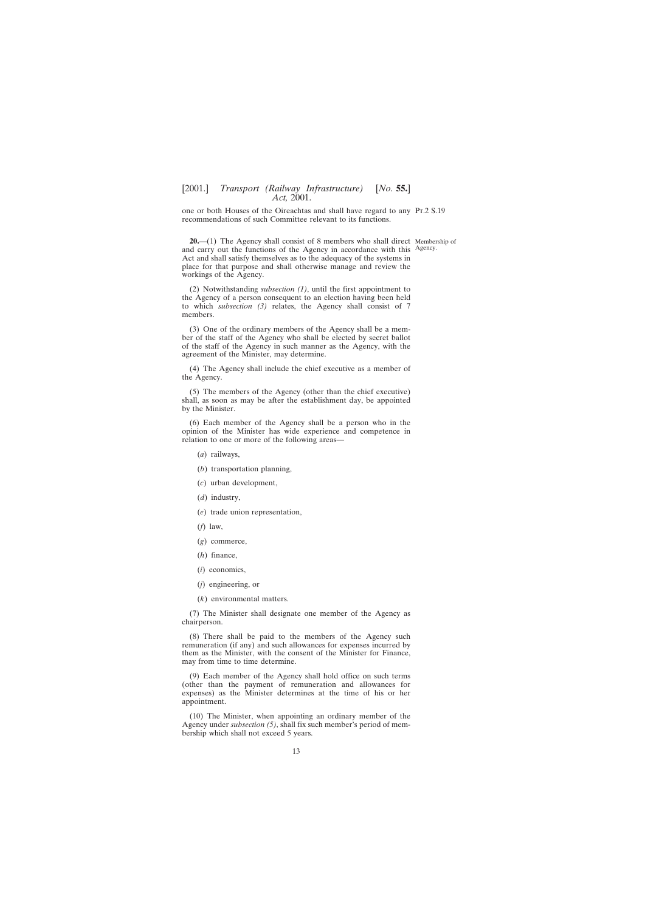<span id="page-12-0"></span>one or both Houses of the Oireachtas and shall have regard to any Pt.2 S.19 recommendations of such Committee relevant to its functions.

**20.**—(1) The Agency shall consist of 8 members who shall direct Membership of and carry out the functions of the Agency in accordance with this Agency.Act and shall satisfy themselves as to the adequacy of the systems in place for that purpose and shall otherwise manage and review the workings of the Agency.

(2) Notwithstanding *subsection (1)*, until the first appointment to the Agency of a person consequent to an election having been held to which *subsection (3)* relates, the Agency shall consist of 7 members.

(3) One of the ordinary members of the Agency shall be a member of the staff of the Agency who shall be elected by secret ballot of the staff of the Agency in such manner as the Agency, with the agreement of the Minister, may determine.

(4) The Agency shall include the chief executive as a member of the Agency.

(5) The members of the Agency (other than the chief executive) shall, as soon as may be after the establishment day, be appointed by the Minister.

(6) Each member of the Agency shall be a person who in the opinion of the Minister has wide experience and competence in relation to one or more of the following areas—

- (*a*) railways,
- (*b*) transportation planning,
- (*c*) urban development,
- (*d*) industry,
- (*e*) trade union representation,
- (*f*) law,
- (*g*) commerce,
- (*h*) finance,
- (*i*) economics,
- (*j*) engineering, or

(*k*) environmental matters.

(7) The Minister shall designate one member of the Agency as chairperson.

(8) There shall be paid to the members of the Agency such remuneration (if any) and such allowances for expenses incurred by them as the Minister, with the consent of the Minister for Finance, may from time to time determine.

(9) Each member of the Agency shall hold office on such terms (other than the payment of remuneration and allowances for expenses) as the Minister determines at the time of his or her appointment.

(10) The Minister, when appointing an ordinary member of the Agency under *subsection (5)*, shall fix such member's period of membership which shall not exceed 5 years.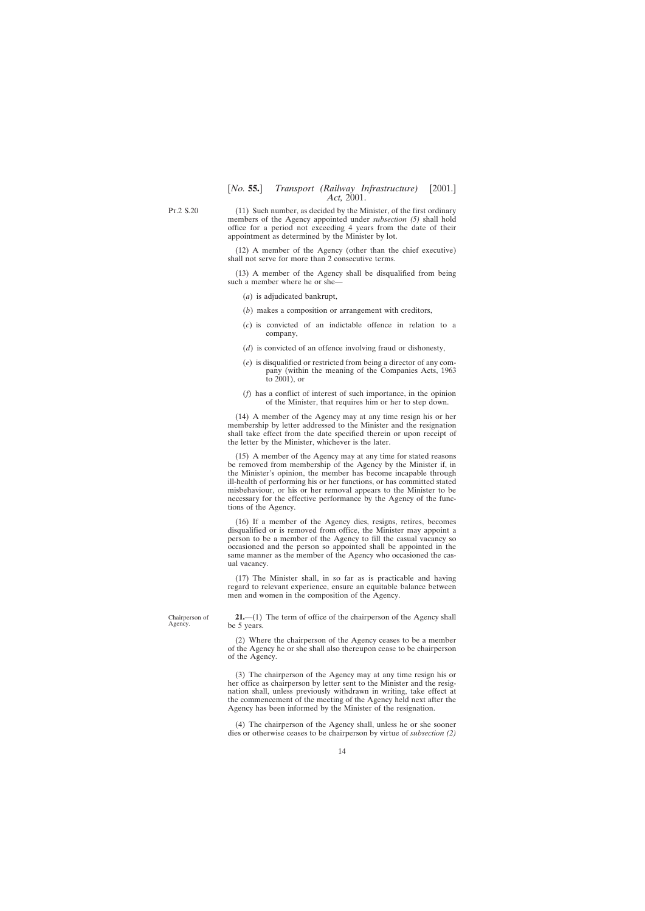<span id="page-13-0"></span>Pt.2 S.20

(11) Such number, as decided by the Minister, of the first ordinary members of the Agency appointed under *subsection (5)* shall hold office for a period not exceeding 4 years from the date of their appointment as determined by the Minister by lot.

(12) A member of the Agency (other than the chief executive) shall not serve for more than 2 consecutive terms.

(13) A member of the Agency shall be disqualified from being such a member where he or she—

- (*a*) is adjudicated bankrupt,
- (*b*) makes a composition or arrangement with creditors,
- (*c*) is convicted of an indictable offence in relation to a company,
- (*d*) is convicted of an offence involving fraud or dishonesty,
- (*e*) is disqualified or restricted from being a director of any company (within the meaning of the Companies Acts, 1963 to 2001), or
- (*f*) has a conflict of interest of such importance, in the opinion of the Minister, that requires him or her to step down.

(14) A member of the Agency may at any time resign his or her membership by letter addressed to the Minister and the resignation shall take effect from the date specified therein or upon receipt of the letter by the Minister, whichever is the later.

(15) A member of the Agency may at any time for stated reasons be removed from membership of the Agency by the Minister if, in the Minister's opinion, the member has become incapable through ill-health of performing his or her functions, or has committed stated misbehaviour, or his or her removal appears to the Minister to be necessary for the effective performance by the Agency of the functions of the Agency.

(16) If a member of the Agency dies, resigns, retires, becomes disqualified or is removed from office, the Minister may appoint a person to be a member of the Agency to fill the casual vacancy so occasioned and the person so appointed shall be appointed in the same manner as the member of the Agency who occasioned the casual vacancy.

(17) The Minister shall, in so far as is practicable and having regard to relevant experience, ensure an equitable balance between men and women in the composition of the Agency.

**21.**—(1) The term of office of the chairperson of the Agency shall be 5 years.

(2) Where the chairperson of the Agency ceases to be a member of the Agency he or she shall also thereupon cease to be chairperson of the Agency.

(3) The chairperson of the Agency may at any time resign his or her office as chairperson by letter sent to the Minister and the resignation shall, unless previously withdrawn in writing, take effect at the commencement of the meeting of the Agency held next after the Agency has been informed by the Minister of the resignation.

(4) The chairperson of the Agency shall, unless he or she sooner dies or otherwise ceases to be chairperson by virtue of *subsection (2)*

Chairperson of Agency.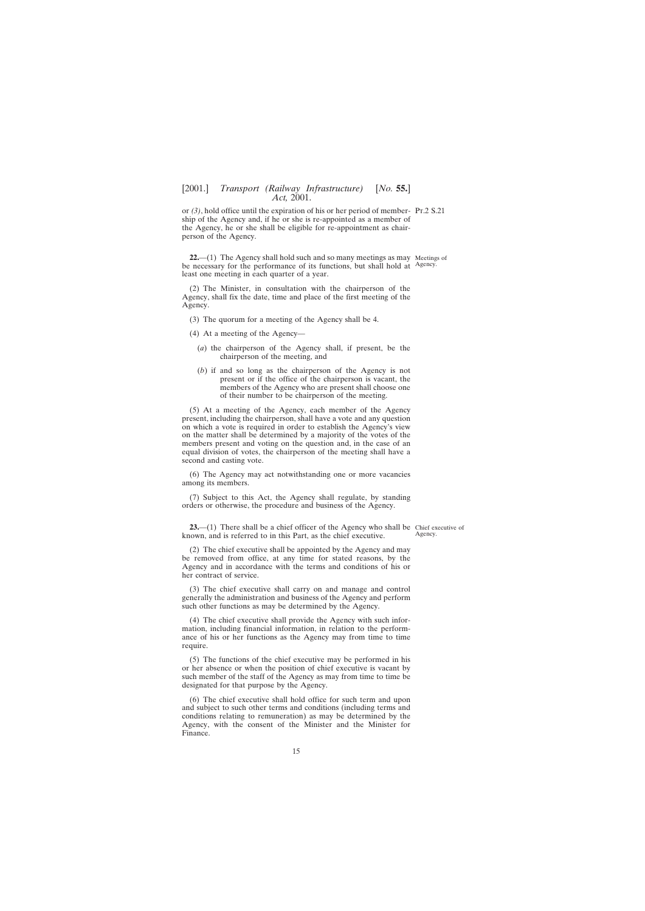<span id="page-14-0"></span>or *(3)*, hold office until the expiration of his or her period of member-Pt.2 S.21 ship of the Agency and, if he or she is re-appointed as a member of the Agency, he or she shall be eligible for re-appointment as chairperson of the Agency.

**22.**—(1) The Agency shall hold such and so many meetings as may Meetings of be necessary for the performance of its functions, but shall hold at Agency. least one meeting in each quarter of a year.

(2) The Minister, in consultation with the chairperson of the Agency, shall fix the date, time and place of the first meeting of the Agency.

- (3) The quorum for a meeting of the Agency shall be 4.
- (4) At a meeting of the Agency—
	- (*a*) the chairperson of the Agency shall, if present, be the chairperson of the meeting, and
	- (*b*) if and so long as the chairperson of the Agency is not present or if the office of the chairperson is vacant, the members of the Agency who are present shall choose one of their number to be chairperson of the meeting.

(5) At a meeting of the Agency, each member of the Agency present, including the chairperson, shall have a vote and any question on which a vote is required in order to establish the Agency's view on the matter shall be determined by a majority of the votes of the members present and voting on the question and, in the case of an equal division of votes, the chairperson of the meeting shall have a second and casting vote.

(6) The Agency may act notwithstanding one or more vacancies among its members.

(7) Subject to this Act, the Agency shall regulate, by standing orders or otherwise, the procedure and business of the Agency.

**23.**—(1) There shall be a chief officer of the Agency who shall be Chief executive of known, and is referred to in this Part, as the chief executive.

(2) The chief executive shall be appointed by the Agency and may be removed from office, at any time for stated reasons, by the Agency and in accordance with the terms and conditions of his or her contract of service.

(3) The chief executive shall carry on and manage and control generally the administration and business of the Agency and perform such other functions as may be determined by the Agency.

(4) The chief executive shall provide the Agency with such information, including financial information, in relation to the performance of his or her functions as the Agency may from time to time require.

(5) The functions of the chief executive may be performed in his or her absence or when the position of chief executive is vacant by such member of the staff of the Agency as may from time to time be designated for that purpose by the Agency.

(6) The chief executive shall hold office for such term and upon and subject to such other terms and conditions (including terms and conditions relating to remuneration) as may be determined by the Agency, with the consent of the Minister and the Minister for Finance.

Agency.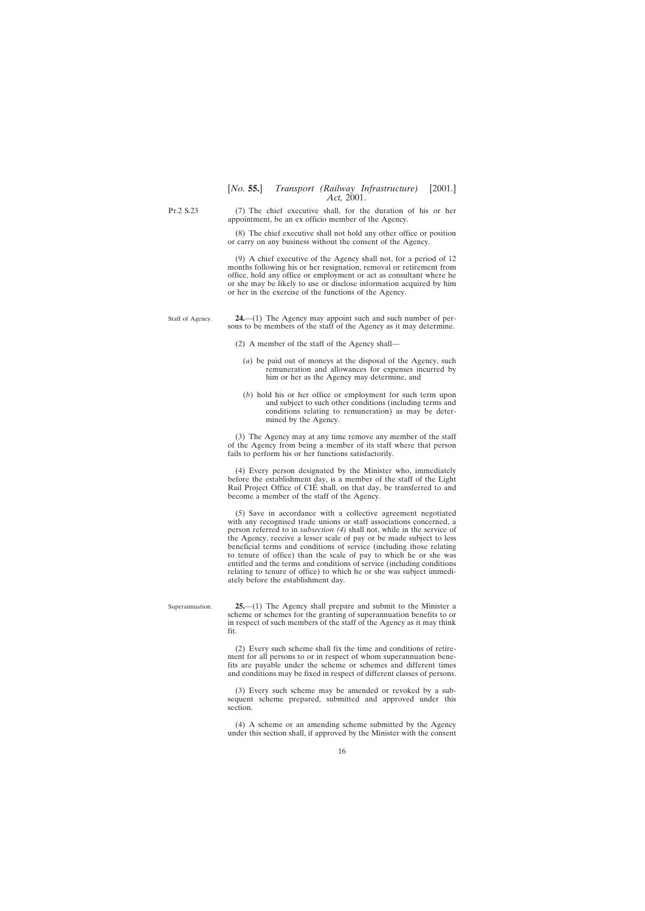<span id="page-15-0"></span>Pt.2 S.23

(7) The chief executive shall, for the duration of his or her appointment, be an ex officio member of the Agency.

(8) The chief executive shall not hold any other office or position or carry on any business without the consent of the Agency.

(9) A chief executive of the Agency shall not, for a period of 12 months following his or her resignation, removal or retirement from office, hold any office or employment or act as consultant where he or she may be likely to use or disclose information acquired by him or her in the exercise of the functions of the Agency.

Staff of Agency. **24.**—(1) The Agency may appoint such and such number of persons to be members of the staff of the Agency as it may determine.

(2) A member of the staff of the Agency shall—

- (*a*) be paid out of moneys at the disposal of the Agency, such remuneration and allowances for expenses incurred by him or her as the Agency may determine, and
- (*b*) hold his or her office or employment for such term upon and subject to such other conditions (including terms and conditions relating to remuneration) as may be determined by the Agency.

(3) The Agency may at any time remove any member of the staff of the Agency from being a member of its staff where that person fails to perform his or her functions satisfactorily.

(4) Every person designated by the Minister who, immediately before the establishment day, is a member of the staff of the Light Rail Project Office of CIÉ shall, on that day, be transferred to and become a member of the staff of the Agency.

(5) Save in accordance with a collective agreement negotiated with any recognised trade unions or staff associations concerned, a person referred to in *subsection (4)* shall not, while in the service of the Agency, receive a lesser scale of pay or be made subject to less beneficial terms and conditions of service (including those relating to tenure of office) than the scale of pay to which he or she was entitled and the terms and conditions of service (including conditions relating to tenure of office) to which he or she was subject immediately before the establishment day.

Superannuation.

**25.**—(1) The Agency shall prepare and submit to the Minister a scheme or schemes for the granting of superannuation benefits to or in respect of such members of the staff of the Agency as it may think fit.

(2) Every such scheme shall fix the time and conditions of retirement for all persons to or in respect of whom superannuation benefits are payable under the scheme or schemes and different times and conditions may be fixed in respect of different classes of persons.

(3) Every such scheme may be amended or revoked by a subsequent scheme prepared, submitted and approved under this section.

(4) A scheme or an amending scheme submitted by the Agency under this section shall, if approved by the Minister with the consent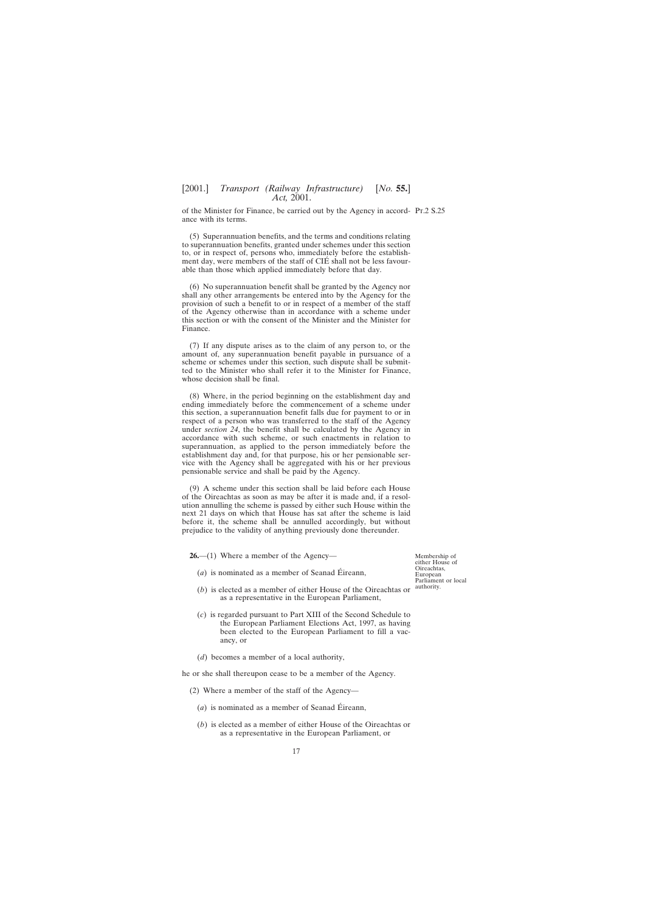<span id="page-16-0"></span>of the Minister for Finance, be carried out by the Agency in accord-Pt.2 S.25 ance with its terms.

(5) Superannuation benefits, and the terms and conditions relating to superannuation benefits, granted under schemes under this section to, or in respect of, persons who, immediately before the establishment day, were members of the staff of CIÉ shall not be less favourable than those which applied immediately before that day.

(6) No superannuation benefit shall be granted by the Agency nor shall any other arrangements be entered into by the Agency for the provision of such a benefit to or in respect of a member of the staff of the Agency otherwise than in accordance with a scheme under this section or with the consent of the Minister and the Minister for Finance.

(7) If any dispute arises as to the claim of any person to, or the amount of, any superannuation benefit payable in pursuance of a scheme or schemes under this section, such dispute shall be submitted to the Minister who shall refer it to the Minister for Finance, whose decision shall be final.

(8) Where, in the period beginning on the establishment day and ending immediately before the commencement of a scheme under this section, a superannuation benefit falls due for payment to or in respect of a person who was transferred to the staff of the Agency under *section 24*, the benefit shall be calculated by the Agency in accordance with such scheme, or such enactments in relation to superannuation, as applied to the person immediately before the establishment day and, for that purpose, his or her pensionable service with the Agency shall be aggregated with his or her previous pensionable service and shall be paid by the Agency.

(9) A scheme under this section shall be laid before each House of the Oireachtas as soon as may be after it is made and, if a resolution annulling the scheme is passed by either such House within the next 21 days on which that House has sat after the scheme is laid before it, the scheme shall be annulled accordingly, but without prejudice to the validity of anything previously done thereunder.

**26.**—(1) Where a member of the Agency—

Membership of either House of Oireachtas, European Parliament or local

- $(a)$  is nominated as a member of Seanad Éireann,
- $(b)$  is elected as a member of either House of the Oireachtas or authority. as a representative in the European Parliament,
- (*c*) is regarded pursuant to Part XIII of the Second Schedule to the European Parliament Elections Act, 1997, as having been elected to the European Parliament to fill a vacancy, or
- (*d*) becomes a member of a local authority,

he or she shall thereupon cease to be a member of the Agency.

- (2) Where a member of the staff of the Agency—
	- $(a)$  is nominated as a member of Seanad Éireann,
	- (*b*) is elected as a member of either House of the Oireachtas or as a representative in the European Parliament, or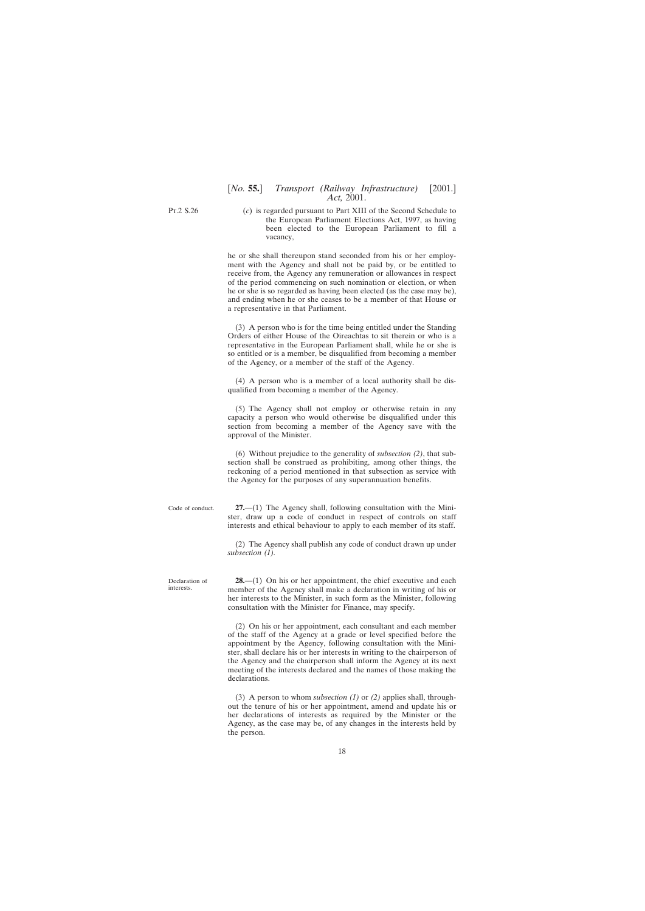<span id="page-17-0"></span>Pt.2 S.26

(*c*) is regarded pursuant to Part XIII of the Second Schedule to the European Parliament Elections Act, 1997, as having been elected to the European Parliament to fill a vacancy,

he or she shall thereupon stand seconded from his or her employment with the Agency and shall not be paid by, or be entitled to receive from, the Agency any remuneration or allowances in respect of the period commencing on such nomination or election, or when he or she is so regarded as having been elected (as the case may be), and ending when he or she ceases to be a member of that House or a representative in that Parliament.

(3) A person who is for the time being entitled under the Standing Orders of either House of the Oireachtas to sit therein or who is a representative in the European Parliament shall, while he or she is so entitled or is a member, be disqualified from becoming a member of the Agency, or a member of the staff of the Agency.

(4) A person who is a member of a local authority shall be disqualified from becoming a member of the Agency.

(5) The Agency shall not employ or otherwise retain in any capacity a person who would otherwise be disqualified under this section from becoming a member of the Agency save with the approval of the Minister.

(6) Without prejudice to the generality of *subsection (2)*, that subsection shall be construed as prohibiting, among other things, the reckoning of a period mentioned in that subsection as service with the Agency for the purposes of any superannuation benefits.

**27.**—(1) The Agency shall, following consultation with the Minister, draw up a code of conduct in respect of controls on staff interests and ethical behaviour to apply to each member of its staff.

(2) The Agency shall publish any code of conduct drawn up under *subsection (1).*

Declaration of interests.

Code of conduct.

**28.**—(1) On his or her appointment, the chief executive and each member of the Agency shall make a declaration in writing of his or her interests to the Minister, in such form as the Minister, following consultation with the Minister for Finance, may specify.

(2) On his or her appointment, each consultant and each member of the staff of the Agency at a grade or level specified before the appointment by the Agency, following consultation with the Minister, shall declare his or her interests in writing to the chairperson of the Agency and the chairperson shall inform the Agency at its next meeting of the interests declared and the names of those making the declarations.

(3) A person to whom *subsection (1)* or *(2)* applies shall, throughout the tenure of his or her appointment, amend and update his or her declarations of interests as required by the Minister or the Agency, as the case may be, of any changes in the interests held by the person.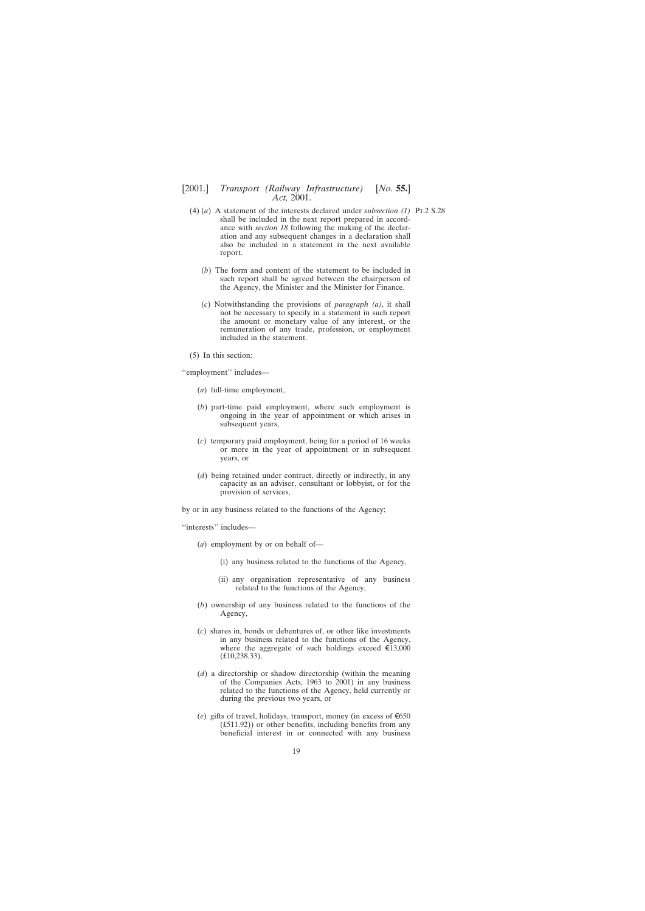- (4) (*a*) A statement of the interests declared under *subsection (1)* Pt.2 S.28shall be included in the next report prepared in accordance with *section 18* following the making of the declaration and any subsequent changes in a declaration shall also be included in a statement in the next available report.
	- (*b*) The form and content of the statement to be included in such report shall be agreed between the chairperson of the Agency, the Minister and the Minister for Finance.
	- (*c*) Notwithstanding the provisions of *paragraph (a)*, it shall not be necessary to specify in a statement in such report the amount or monetary value of any interest, or the remuneration of any trade, profession, or employment included in the statement.
- (5) In this section:

''employment'' includes—

- (*a*) full-time employment,
- (*b*) part-time paid employment, where such employment is ongoing in the year of appointment or which arises in subsequent years,
- (*c*) temporary paid employment, being for a period of 16 weeks or more in the year of appointment or in subsequent years, or
- (*d*) being retained under contract, directly or indirectly, in any capacity as an adviser, consultant or lobbyist, or for the provision of services,

by or in any business related to the functions of the Agency;

''interests'' includes—

- (*a*) employment by or on behalf of—
	- (i) any business related to the functions of the Agency,
	- (ii) any organisation representative of any business related to the functions of the Agency,
- (*b*) ownership of any business related to the functions of the Agency,
- (*c*) shares in, bonds or debentures of, or other like investments in any business related to the functions of the Agency, where the aggregate of such holdings exceed  $\epsilon$ 13,000 (£10,238.33),
- (*d*) a directorship or shadow directorship (within the meaning of the Companies Acts, 1963 to 2001) in any business related to the functions of the Agency, held currently or during the previous two years, or
- (*e*) gifts of travel, holidays, transport, money (in excess of  $\epsilon$ 650 (£511.92)) or other benefits, including benefits from any beneficial interest in or connected with any business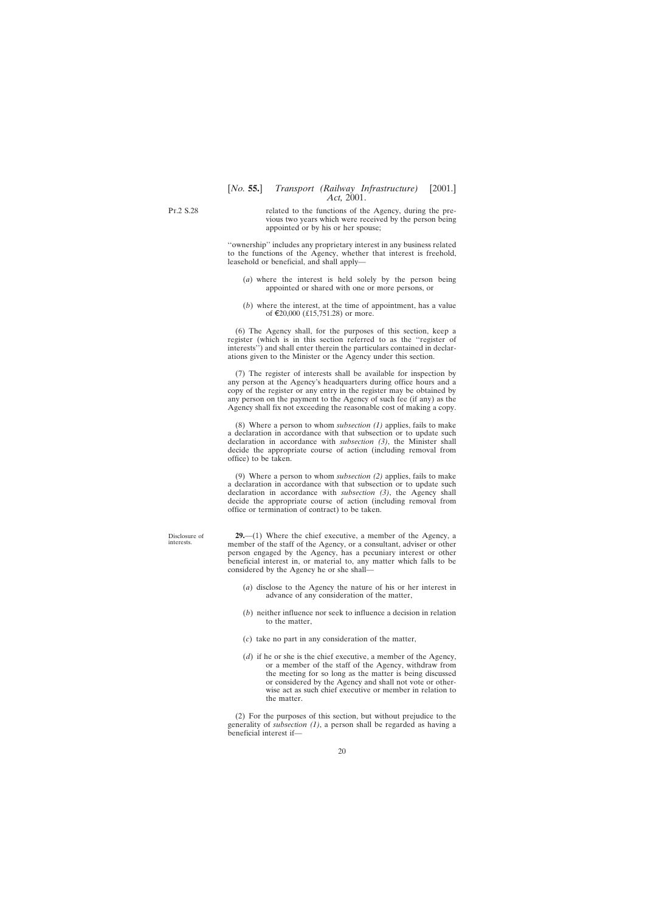<span id="page-19-0"></span>Pt.2 S.28

related to the functions of the Agency, during the previous two years which were received by the person being appointed or by his or her spouse;

''ownership'' includes any proprietary interest in any business related to the functions of the Agency, whether that interest is freehold, leasehold or beneficial, and shall apply—

- (*a*) where the interest is held solely by the person being appointed or shared with one or more persons, or
- (*b*) where the interest, at the time of appointment, has a value of  $\text{\textsterling}20,000$  (£15,751.28) or more.

(6) The Agency shall, for the purposes of this section, keep a register (which is in this section referred to as the ''register of interests'') and shall enter therein the particulars contained in declarations given to the Minister or the Agency under this section.

(7) The register of interests shall be available for inspection by any person at the Agency's headquarters during office hours and a copy of the register or any entry in the register may be obtained by any person on the payment to the Agency of such fee (if any) as the Agency shall fix not exceeding the reasonable cost of making a copy.

(8) Where a person to whom *subsection (1)* applies, fails to make a declaration in accordance with that subsection or to update such declaration in accordance with *subsection (3)*, the Minister shall decide the appropriate course of action (including removal from office) to be taken.

(9) Where a person to whom *subsection (2)* applies, fails to make a declaration in accordance with that subsection or to update such declaration in accordance with *subsection (3)*, the Agency shall decide the appropriate course of action (including removal from office or termination of contract) to be taken.

**29.**—(1) Where the chief executive, a member of the Agency, a member of the staff of the Agency, or a consultant, adviser or other person engaged by the Agency, has a pecuniary interest or other beneficial interest in, or material to, any matter which falls to be considered by the Agency he or she shall—

- (*a*) disclose to the Agency the nature of his or her interest in advance of any consideration of the matter,
- (*b*) neither influence nor seek to influence a decision in relation to the matter,
- (*c*) take no part in any consideration of the matter,
- (*d*) if he or she is the chief executive, a member of the Agency, or a member of the staff of the Agency, withdraw from the meeting for so long as the matter is being discussed or considered by the Agency and shall not vote or otherwise act as such chief executive or member in relation to the matter.

(2) For the purposes of this section, but without prejudice to the generality of *subsection (1)*, a person shall be regarded as having a beneficial interest if—

Disclosure of interests.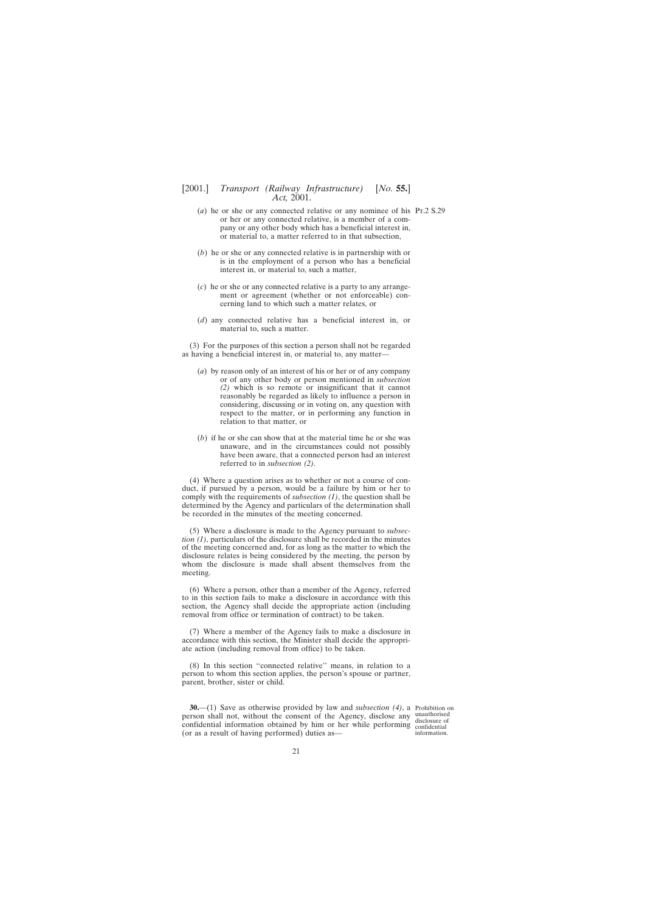- <span id="page-20-0"></span>(*a*) he or she or any connected relative or any nominee of his Pt.2 S.29 or her or any connected relative, is a member of a company or any other body which has a beneficial interest in, or material to, a matter referred to in that subsection,
- (*b*) he or she or any connected relative is in partnership with or is in the employment of a person who has a beneficial interest in, or material to, such a matter,
- (*c*) he or she or any connected relative is a party to any arrangement or agreement (whether or not enforceable) concerning land to which such a matter relates, or
- (*d*) any connected relative has a beneficial interest in, or material to, such a matter.

(3) For the purposes of this section a person shall not be regarded as having a beneficial interest in, or material to, any matter—

- (*a*) by reason only of an interest of his or her or of any company or of any other body or person mentioned in *subsection (2)* which is so remote or insignificant that it cannot reasonably be regarded as likely to influence a person in considering, discussing or in voting on, any question with respect to the matter, or in performing any function in relation to that matter, or
- (*b*) if he or she can show that at the material time he or she was unaware, and in the circumstances could not possibly have been aware, that a connected person had an interest referred to in *subsection (2)*.

(4) Where a question arises as to whether or not a course of conduct, if pursued by a person, would be a failure by him or her to comply with the requirements of *subsection (1)*, the question shall be determined by the Agency and particulars of the determination shall be recorded in the minutes of the meeting concerned.

(5) Where a disclosure is made to the Agency pursuant to *subsection (1)*, particulars of the disclosure shall be recorded in the minutes of the meeting concerned and, for as long as the matter to which the disclosure relates is being considered by the meeting, the person by whom the disclosure is made shall absent themselves from the meeting.

(6) Where a person, other than a member of the Agency, referred to in this section fails to make a disclosure in accordance with this section, the Agency shall decide the appropriate action (including removal from office or termination of contract) to be taken.

(7) Where a member of the Agency fails to make a disclosure in accordance with this section, the Minister shall decide the appropriate action (including removal from office) to be taken.

(8) In this section ''connected relative'' means, in relation to a person to whom this section applies, the person's spouse or partner, parent, brother, sister or child.

**30.**—(1) Save as otherwise provided by law and *subsection (4)*, a Prohibition on person shall not, without the consent of the Agency, disclose any unauthorised confidential information obtained by him or her while performing confidential (or as a result of having performed) duties as—

disclosure of information.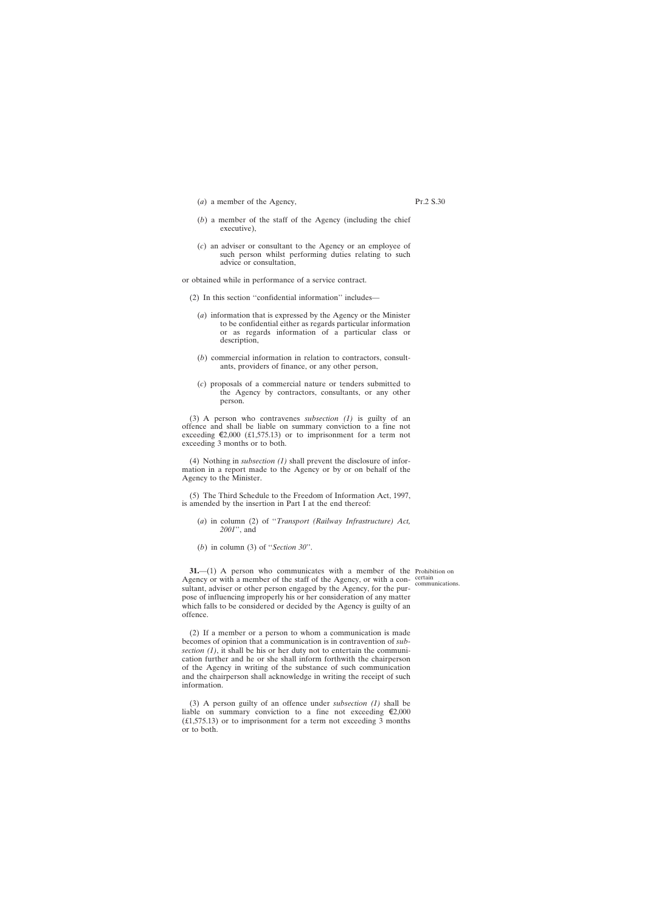- <span id="page-21-0"></span>(*a*) a member of the Agency,
- (*b*) a member of the staff of the Agency (including the chief executive),
- (*c*) an adviser or consultant to the Agency or an employee of such person whilst performing duties relating to such advice or consultation,

or obtained while in performance of a service contract.

- (2) In this section ''confidential information'' includes—
	- (*a*) information that is expressed by the Agency or the Minister to be confidential either as regards particular information or as regards information of a particular class or description,
	- (*b*) commercial information in relation to contractors, consultants, providers of finance, or any other person,
	- (*c*) proposals of a commercial nature or tenders submitted to the Agency by contractors, consultants, or any other person.

(3) A person who contravenes *subsection (1)* is guilty of an offence and shall be liable on summary conviction to a fine not exceeding  $\epsilon$ 2,000 (£1,575.13) or to imprisonment for a term not exceeding 3 months or to both.

(4) Nothing in *subsection (1)* shall prevent the disclosure of information in a report made to the Agency or by or on behalf of the Agency to the Minister.

(5) The Third Schedule to the Freedom of Information Act, 1997, is amended by the insertion in Part I at the end thereof:

- (*a*) in column (2) of ''*Transport (Railway Infrastructure) Act, 2001*'', and
- (*b*) in column (3) of ''*Section 30*''.

**31.**—(1) A person who communicates with a member of the Prohibition on Agency or with a member of the staff of the Agency, or with a consultant, adviser or other person engaged by the Agency, for the purpose of influencing improperly his or her consideration of any matter which falls to be considered or decided by the Agency is guilty of an offence.

(2) If a member or a person to whom a communication is made becomes of opinion that a communication is in contravention of *subsection (1)*, it shall be his or her duty not to entertain the communication further and he or she shall inform forthwith the chairperson of the Agency in writing of the substance of such communication and the chairperson shall acknowledge in writing the receipt of such information.

(3) A person guilty of an offence under *subsection (1)* shall be liable on summary conviction to a fine not exceeding  $\epsilon$ 2,000 (£1,575.13) or to imprisonment for a term not exceeding 3 months or to both.

communications.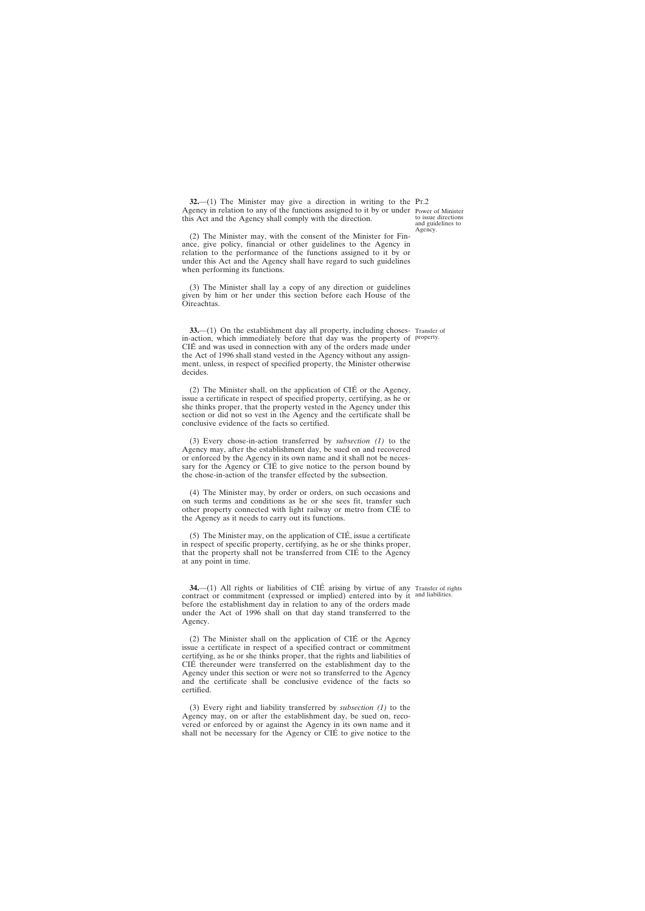<span id="page-22-0"></span>**32.**—(1) The Minister may give a direction in writing to the Pr.2 Agency in relation to any of the functions assigned to it by or under Power of Minister this Act and the Agency shall comply with the direction.

(2) The Minister may, with the consent of the Minister for Finance, give policy, financial or other guidelines to the Agency in relation to the performance of the functions assigned to it by or under this Act and the Agency shall have regard to such guidelines when performing its functions.

(3) The Minister shall lay a copy of any direction or guidelines given by him or her under this section before each House of the Oireachtas.

**33.**—(1) On the establishment day all property, including choses- Transfer of in-action, which immediately before that day was the property of property. CIE´ and was used in connection with any of the orders made under the Act of 1996 shall stand vested in the Agency without any assignment, unless, in respect of specified property, the Minister otherwise decides.

 $(2)$  The Minister shall, on the application of CIÉ or the Agency, issue a certificate in respect of specified property, certifying, as he or she thinks proper, that the property vested in the Agency under this section or did not so vest in the Agency and the certificate shall be conclusive evidence of the facts so certified.

(3) Every chose-in-action transferred by *subsection (1)* to the Agency may, after the establishment day, be sued on and recovered or enforced by the Agency in its own name and it shall not be necessary for the Agency or CIÉ to give notice to the person bound by the chose-in-action of the transfer effected by the subsection.

(4) The Minister may, by order or orders, on such occasions and on such terms and conditions as he or she sees fit, transfer such other property connected with light railway or metro from CIE´ to the Agency as it needs to carry out its functions.

(5) The Minister may, on the application of  $\overline{CIE}$ , issue a certificate in respect of specific property, certifying, as he or she thinks proper, that the property shall not be transferred from CIE´ to the Agency at any point in time.

**34.** (1) All rights or liabilities of CIÉ arising by virtue of any Transfer of rights contract or commitment (expressed or implied) entered into by it and liabilities. before the establishment day in relation to any of the orders made under the Act of 1996 shall on that day stand transferred to the Agency.

 $(2)$  The Minister shall on the application of CIÉ or the Agency issue a certificate in respect of a specified contract or commitment certifying, as he or she thinks proper, that the rights and liabilities of CIE´ thereunder were transferred on the establishment day to the Agency under this section or were not so transferred to the Agency and the certificate shall be conclusive evidence of the facts so certified.

(3) Every right and liability transferred by *subsection (1)* to the Agency may, on or after the establishment day, be sued on, recovered or enforced by or against the Agency in its own name and it shall not be necessary for the Agency or CIÉ to give notice to the

to issue directions and guidelines to Agency.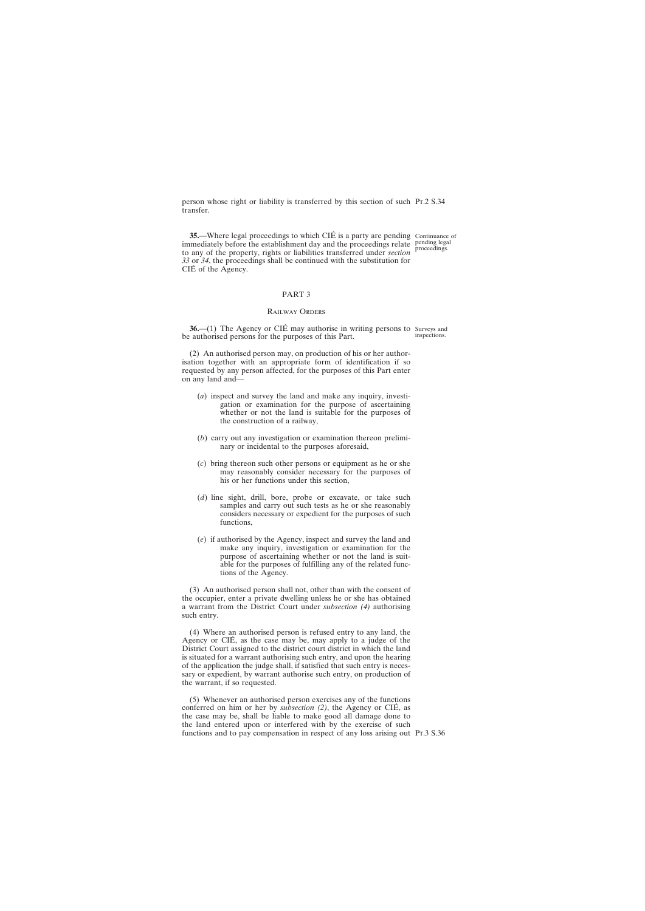<span id="page-23-0"></span>person whose right or liability is transferred by this section of such Pt.2 S.34 transfer.

**35.**—Where legal proceedings to which CIÉ is a party are pending Continuance of immediately before the establishment day and the proceedings relate pending legal to any of the property, rights or liabilities transferred under *section* proceedings. *33* or *34*, the proceedings shall be continued with the substitution for CIÉ of the Agency.

# PART 3

# Railway Orders

**36.**—(1) The Agency or CIÉ may authorise in writing persons to Surveys and be authorised persons for the purposes of this Part. inspections.

(2) An authorised person may, on production of his or her authorisation together with an appropriate form of identification if so requested by any person affected, for the purposes of this Part enter on any land and—

- (*a*) inspect and survey the land and make any inquiry, investigation or examination for the purpose of ascertaining whether or not the land is suitable for the purposes of the construction of a railway,
- (*b*) carry out any investigation or examination thereon preliminary or incidental to the purposes aforesaid,
- (*c*) bring thereon such other persons or equipment as he or she may reasonably consider necessary for the purposes of his or her functions under this section,
- (*d*) line sight, drill, bore, probe or excavate, or take such samples and carry out such tests as he or she reasonably considers necessary or expedient for the purposes of such functions,
- (*e*) if authorised by the Agency, inspect and survey the land and make any inquiry, investigation or examination for the purpose of ascertaining whether or not the land is suitable for the purposes of fulfilling any of the related functions of the Agency.

(3) An authorised person shall not, other than with the consent of the occupier, enter a private dwelling unless he or she has obtained a warrant from the District Court under *subsection (4)* authorising such entry.

(4) Where an authorised person is refused entry to any land, the Agency or CIÉ, as the case may be, may apply to a judge of the District Court assigned to the district court district in which the land is situated for a warrant authorising such entry, and upon the hearing of the application the judge shall, if satisfied that such entry is necessary or expedient, by warrant authorise such entry, on production of the warrant, if so requested.

(5) Whenever an authorised person exercises any of the functions conferred on him or her by *subsection (2)*, the Agency or CIÉ, as the case may be, shall be liable to make good all damage done to the land entered upon or interfered with by the exercise of such functions and to pay compensation in respect of any loss arising out Pr.3 S.36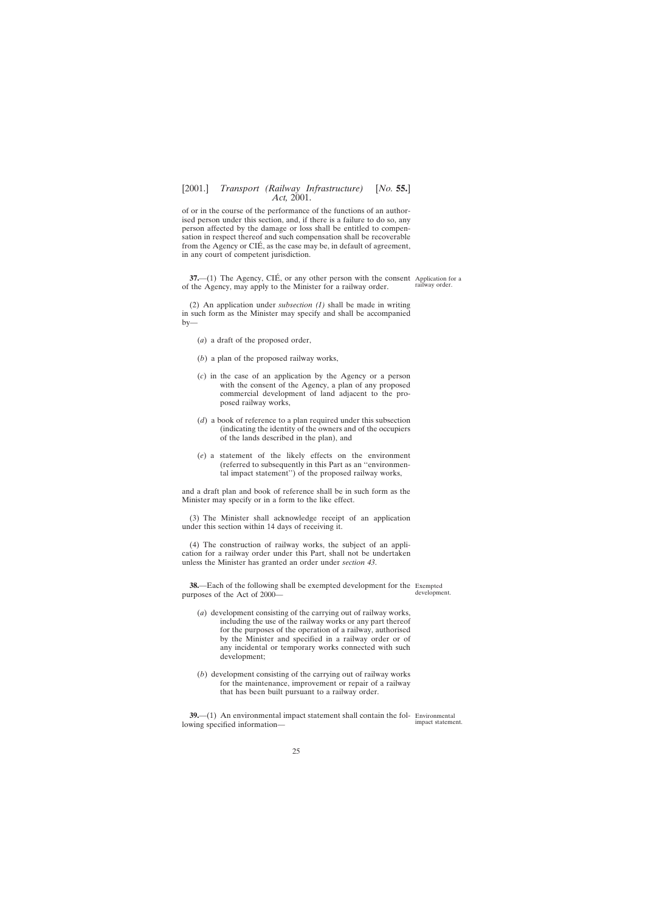<span id="page-24-0"></span>of or in the course of the performance of the functions of an authorised person under this section, and, if there is a failure to do so, any person affected by the damage or loss shall be entitled to compensation in respect thereof and such compensation shall be recoverable from the Agency or CIÉ, as the case may be, in default of agreement, in any court of competent jurisdiction.

**37.**—(1) The Agency, CIÉ, or any other person with the consent Application for a of the Agency, may apply to the Minister for a railway order.

(2) An application under *subsection (1)* shall be made in writing in such form as the Minister may specify and shall be accompanied by—

- (*a*) a draft of the proposed order,
- (*b*) a plan of the proposed railway works,
- (*c*) in the case of an application by the Agency or a person with the consent of the Agency, a plan of any proposed commercial development of land adjacent to the proposed railway works,
- (*d*) a book of reference to a plan required under this subsection (indicating the identity of the owners and of the occupiers of the lands described in the plan), and
- (*e*) a statement of the likely effects on the environment (referred to subsequently in this Part as an ''environmental impact statement'') of the proposed railway works,

and a draft plan and book of reference shall be in such form as the Minister may specify or in a form to the like effect.

(3) The Minister shall acknowledge receipt of an application under this section within 14 days of receiving it.

(4) The construction of railway works, the subject of an application for a railway order under this Part, shall not be undertaken unless the Minister has granted an order under *section 43*.

**38.**—Each of the following shall be exempted development for the Exempted purposes of the Act of 2000—

development.

railway order.

- (*a*) development consisting of the carrying out of railway works, including the use of the railway works or any part thereof for the purposes of the operation of a railway, authorised by the Minister and specified in a railway order or of any incidental or temporary works connected with such development;
- (*b*) development consisting of the carrying out of railway works for the maintenance, improvement or repair of a railway that has been built pursuant to a railway order.

**39.**—(1) An environmental impact statement shall contain the fol- Environmental lowing specified information—

impact statement.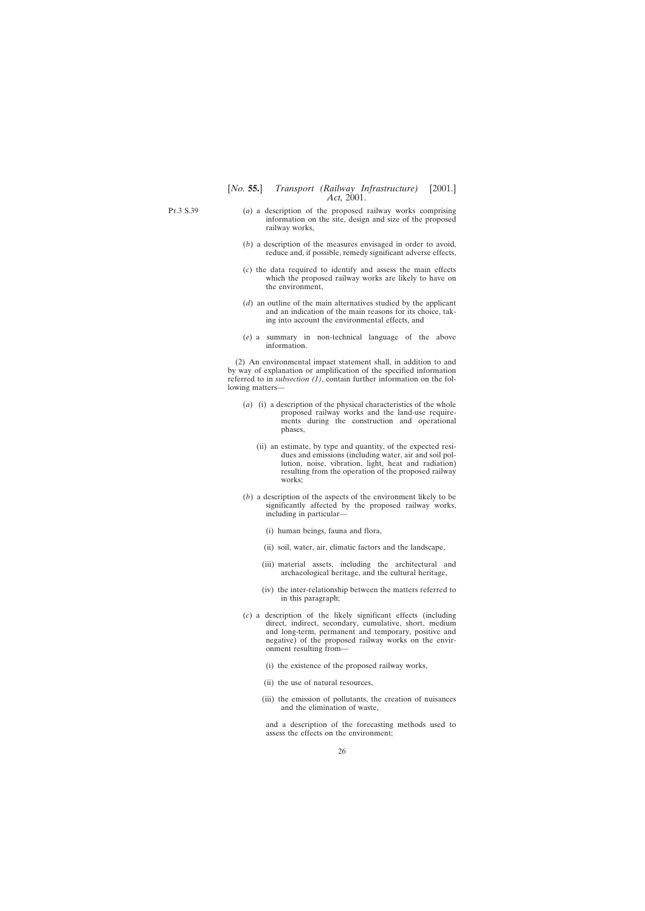Pt.3 S.39

- (*a*) a description of the proposed railway works comprising information on the site, design and size of the proposed railway works,
- (*b*) a description of the measures envisaged in order to avoid, reduce and, if possible, remedy significant adverse effects,
- (*c*) the data required to identify and assess the main effects which the proposed railway works are likely to have on the environment,
- (*d*) an outline of the main alternatives studied by the applicant and an indication of the main reasons for its choice, taking into account the environmental effects, and
- (*e*) a summary in non-technical language of the above information.

(2) An environmental impact statement shall, in addition to and by way of explanation or amplification of the specified information referred to in *subsection (1)*, contain further information on the following matters—

- (*a*) (i) a description of the physical characteristics of the whole proposed railway works and the land-use requirements during the construction and operational phases,
	- (ii) an estimate, by type and quantity, of the expected residues and emissions (including water, air and soil pollution, noise, vibration, light, heat and radiation) resulting from the operation of the proposed railway works;
- (*b*) a description of the aspects of the environment likely to be significantly affected by the proposed railway works, including in particular—
	- (i) human beings, fauna and flora,
	- (ii) soil, water, air, climatic factors and the landscape,
	- (iii) material assets, including the architectural and archaeological heritage, and the cultural heritage,
	- (iv) the inter-relationship between the matters referred to in this paragraph;
- (*c*) a description of the likely significant effects (including direct, indirect, secondary, cumulative, short, medium and long-term, permanent and temporary, positive and negative) of the proposed railway works on the environment resulting from—
	- (i) the existence of the proposed railway works,
	- (ii) the use of natural resources,
	- (iii) the emission of pollutants, the creation of nuisances and the elimination of waste,

and a description of the forecasting methods used to assess the effects on the environment;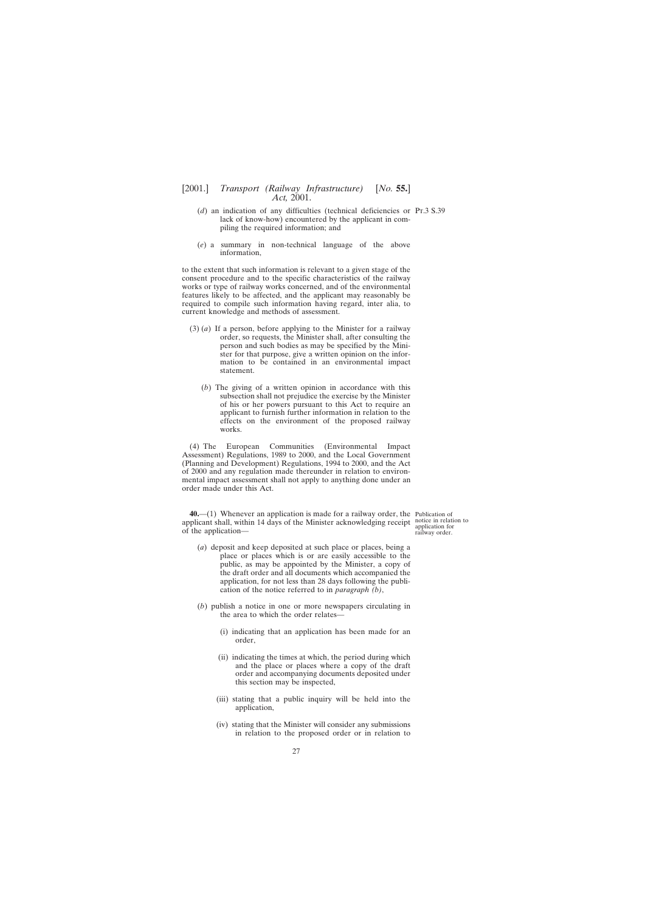- <span id="page-26-0"></span>(*d*) an indication of any difficulties (technical deficiencies or Pt.3 S.39 lack of know-how) encountered by the applicant in compiling the required information; and
- (*e*) a summary in non-technical language of the above information,

to the extent that such information is relevant to a given stage of the consent procedure and to the specific characteristics of the railway works or type of railway works concerned, and of the environmental features likely to be affected, and the applicant may reasonably be required to compile such information having regard, inter alia, to current knowledge and methods of assessment.

- (3) (*a*) If a person, before applying to the Minister for a railway order, so requests, the Minister shall, after consulting the person and such bodies as may be specified by the Minister for that purpose, give a written opinion on the information to be contained in an environmental impact statement.
	- (*b*) The giving of a written opinion in accordance with this subsection shall not prejudice the exercise by the Minister of his or her powers pursuant to this Act to require an applicant to furnish further information in relation to the effects on the environment of the proposed railway works.

(4) The European Communities (Environmental Impact Assessment) Regulations, 1989 to 2000, and the Local Government (Planning and Development) Regulations, 1994 to 2000, and the Act of 2000 and any regulation made thereunder in relation to environmental impact assessment shall not apply to anything done under an order made under this Act.

**40.**—(1) Whenever an application is made for a railway order, the Publication of applicant shall, within 14 days of the Minister acknowledging receipt notice in relation to of the application—

- (*a*) deposit and keep deposited at such place or places, being a place or places which is or are easily accessible to the public, as may be appointed by the Minister, a copy of the draft order and all documents which accompanied the application, for not less than 28 days following the publication of the notice referred to in *paragraph (b)*,
- (*b*) publish a notice in one or more newspapers circulating in the area to which the order relates—
	- (i) indicating that an application has been made for an order,
	- (ii) indicating the times at which, the period during which and the place or places where a copy of the draft order and accompanying documents deposited under this section may be inspected,
	- (iii) stating that a public inquiry will be held into the application,
	- (iv) stating that the Minister will consider any submissions in relation to the proposed order or in relation to

application for railway order.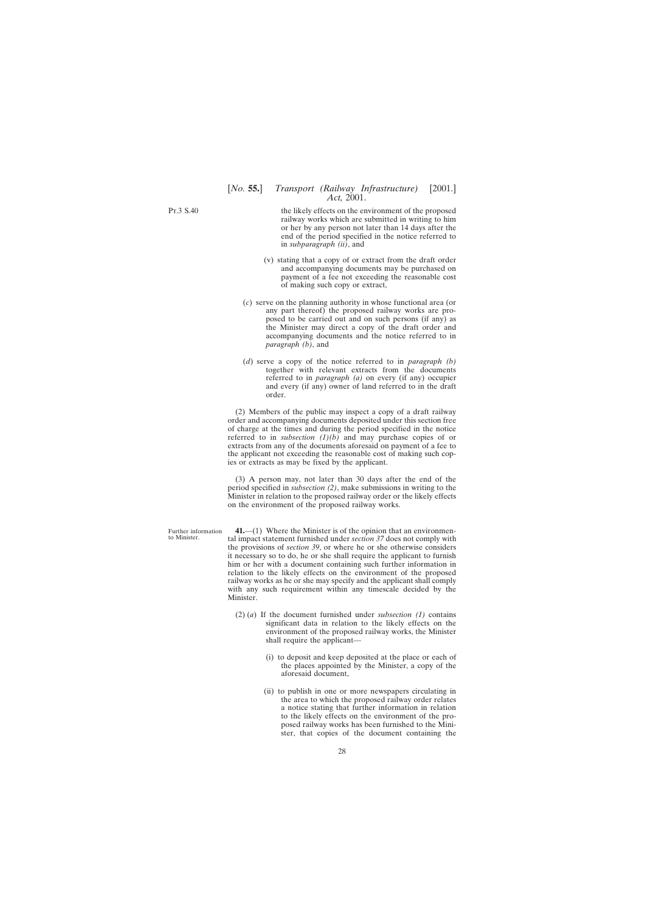<span id="page-27-0"></span>Pt.3 S.40

Further information to Minister.

the likely effects on the environment of the proposed railway works which are submitted in writing to him or her by any person not later than 14 days after the end of the period specified in the notice referred to in *subparagraph (ii)*, and

- (v) stating that a copy of or extract from the draft order and accompanying documents may be purchased on payment of a fee not exceeding the reasonable cost of making such copy or extract,
- (*c*) serve on the planning authority in whose functional area (or any part thereof) the proposed railway works are proposed to be carried out and on such persons (if any) as the Minister may direct a copy of the draft order and accompanying documents and the notice referred to in *paragraph (b)*, and
- (*d*) serve a copy of the notice referred to in *paragraph (b)* together with relevant extracts from the documents referred to in *paragraph (a)* on every (if any) occupier and every (if any) owner of land referred to in the draft order.

(2) Members of the public may inspect a copy of a draft railway order and accompanying documents deposited under this section free of charge at the times and during the period specified in the notice referred to in *subsection (1)(b)* and may purchase copies of or extracts from any of the documents aforesaid on payment of a fee to the applicant not exceeding the reasonable cost of making such copies or extracts as may be fixed by the applicant.

(3) A person may, not later than 30 days after the end of the period specified in *subsection (2)*, make submissions in writing to the Minister in relation to the proposed railway order or the likely effects on the environment of the proposed railway works.

**41.**—(1) Where the Minister is of the opinion that an environmental impact statement furnished under *section 37* does not comply with the provisions of *section 39*, or where he or she otherwise considers it necessary so to do, he or she shall require the applicant to furnish him or her with a document containing such further information in relation to the likely effects on the environment of the proposed railway works as he or she may specify and the applicant shall comply with any such requirement within any timescale decided by the Minister.

- (2) (*a*) If the document furnished under *subsection (1)* contains significant data in relation to the likely effects on the environment of the proposed railway works, the Minister shall require the applicant—
	- (i) to deposit and keep deposited at the place or each of the places appointed by the Minister, a copy of the aforesaid document,
	- (ii) to publish in one or more newspapers circulating in the area to which the proposed railway order relates a notice stating that further information in relation to the likely effects on the environment of the proposed railway works has been furnished to the Minister, that copies of the document containing the

28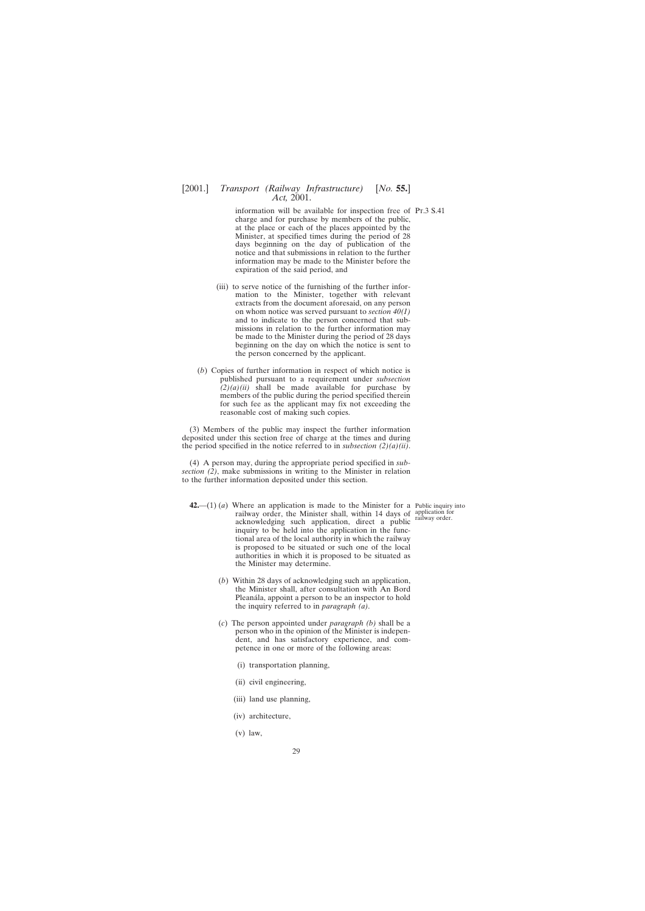<span id="page-28-0"></span>information will be available for inspection free of Pt.3 S.41 charge and for purchase by members of the public, at the place or each of the places appointed by the Minister, at specified times during the period of 28 days beginning on the day of publication of the notice and that submissions in relation to the further information may be made to the Minister before the expiration of the said period, and

- (iii) to serve notice of the furnishing of the further information to the Minister, together with relevant extracts from the document aforesaid, on any person on whom notice was served pursuant to *section 40(1)* and to indicate to the person concerned that submissions in relation to the further information may be made to the Minister during the period of 28 days beginning on the day on which the notice is sent to the person concerned by the applicant.
- (*b*) Copies of further information in respect of which notice is published pursuant to a requirement under *subsection*  $\hat{f}(2)(a)(ii)$  shall be made available for purchase by members of the public during the period specified therein for such fee as the applicant may fix not exceeding the reasonable cost of making such copies.

(3) Members of the public may inspect the further information deposited under this section free of charge at the times and during the period specified in the notice referred to in *subsection (2)(a)(ii)*.

(4) A person may, during the appropriate period specified in *subsection (2)*, make submissions in writing to the Minister in relation to the further information deposited under this section.

- **42.**—(1) (*a*) Where an application is made to the Minister for a Public inquiry into railway order, the Minister shall, within 14 days of application for railway order, the minister shall, while I railway order.<br>acknowledging such application, direct a public inquiry to be held into the application in the functional area of the local authority in which the railway is proposed to be situated or such one of the local authorities in which it is proposed to be situated as the Minister may determine.
	- (*b*) Within 28 days of acknowledging such an application, the Minister shall, after consultation with An Bord Pleanála, appoint a person to be an inspector to hold the inquiry referred to in *paragraph (a)*.
	- (*c*) The person appointed under *paragraph (b)* shall be a person who in the opinion of the Minister is independent, and has satisfactory experience, and competence in one or more of the following areas:
		- (i) transportation planning,
		- (ii) civil engineering,
		- (iii) land use planning,
		- (iv) architecture,
		- (v) law,

29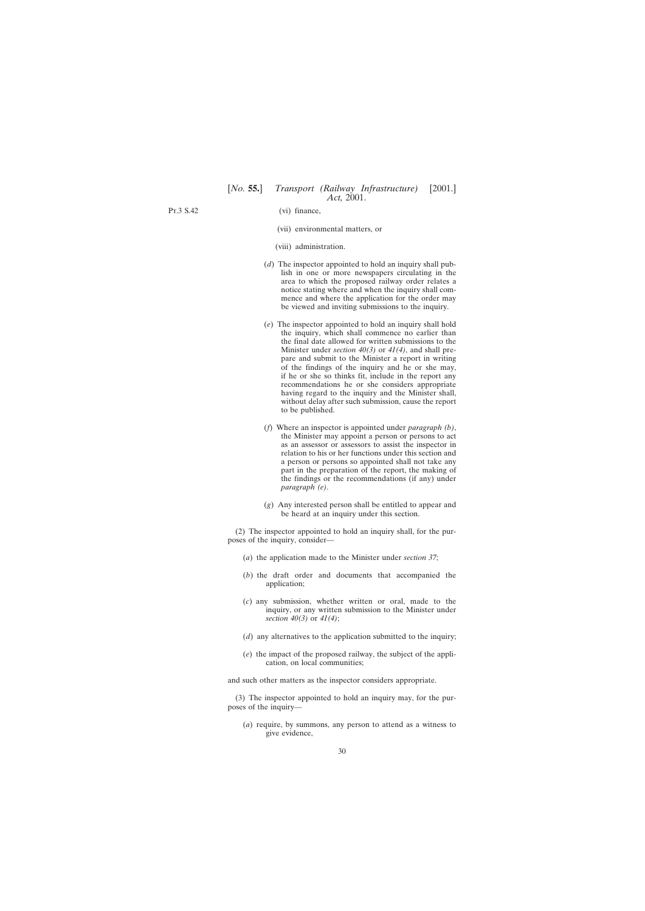Pt.3 S.42

- (vi) finance,
- (vii) environmental matters, or
- (viii) administration.
- (*d*) The inspector appointed to hold an inquiry shall publish in one or more newspapers circulating in the area to which the proposed railway order relates a notice stating where and when the inquiry shall commence and where the application for the order may be viewed and inviting submissions to the inquiry.
- (*e*) The inspector appointed to hold an inquiry shall hold the inquiry, which shall commence no earlier than the final date allowed for written submissions to the Minister under *section 40(3)* or *41(4)*, and shall prepare and submit to the Minister a report in writing of the findings of the inquiry and he or she may, if he or she so thinks fit, include in the report any recommendations he or she considers appropriate having regard to the inquiry and the Minister shall, without delay after such submission, cause the report to be published.
- (*f*) Where an inspector is appointed under *paragraph (b)*, the Minister may appoint a person or persons to act as an assessor or assessors to assist the inspector in relation to his or her functions under this section and a person or persons so appointed shall not take any part in the preparation of the report, the making of the findings or the recommendations (if any) under *paragraph (e)*.
- (*g*) Any interested person shall be entitled to appear and be heard at an inquiry under this section.

(2) The inspector appointed to hold an inquiry shall, for the purposes of the inquiry, consider—

- (*a*) the application made to the Minister under *section 37*;
- (*b*) the draft order and documents that accompanied the application;
- (*c*) any submission, whether written or oral, made to the inquiry, or any written submission to the Minister under *section 40(3)* or *41(4)*;
- (*d*) any alternatives to the application submitted to the inquiry;
- (*e*) the impact of the proposed railway, the subject of the application, on local communities;

and such other matters as the inspector considers appropriate.

(3) The inspector appointed to hold an inquiry may, for the purposes of the inquiry—

(*a*) require, by summons, any person to attend as a witness to give evidence,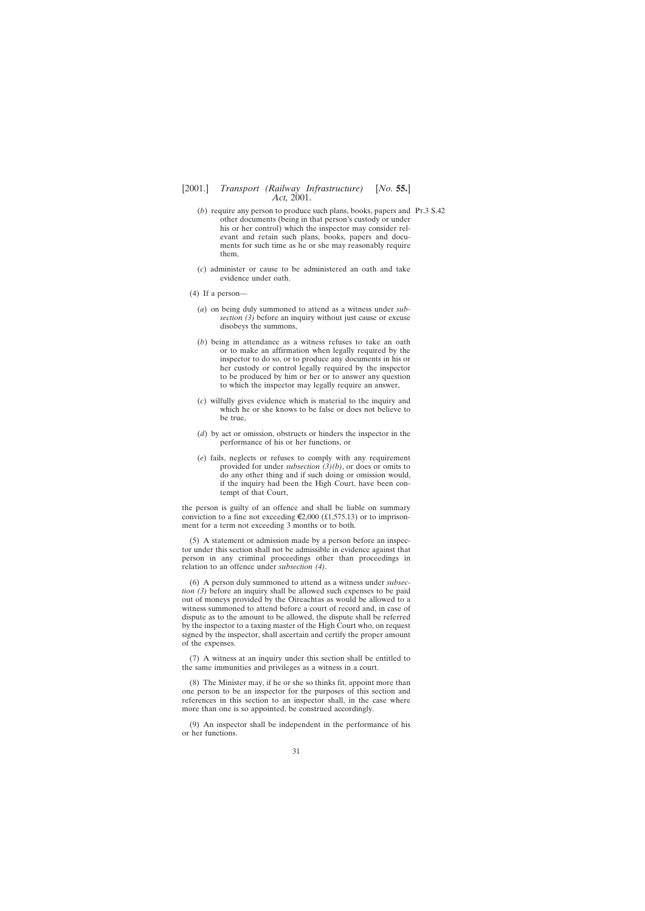- (*b*) require any person to produce such plans, books, papers and Pt.3 S.42other documents (being in that person's custody or under his or her control) which the inspector may consider relevant and retain such plans, books, papers and documents for such time as he or she may reasonably require them,
- (*c*) administer or cause to be administered an oath and take evidence under oath.
- (4) If a person—
	- (*a*) on being duly summoned to attend as a witness under *subsection (3)* before an inquiry without just cause or excuse disobeys the summons,
	- (*b*) being in attendance as a witness refuses to take an oath or to make an affirmation when legally required by the inspector to do so, or to produce any documents in his or her custody or control legally required by the inspector to be produced by him or her or to answer any question to which the inspector may legally require an answer,
	- (*c*) wilfully gives evidence which is material to the inquiry and which he or she knows to be false or does not believe to be true,
	- (*d*) by act or omission, obstructs or hinders the inspector in the performance of his or her functions, or
	- (*e*) fails, neglects or refuses to comply with any requirement provided for under *subsection (3)(b)*, or does or omits to do any other thing and if such doing or omission would, if the inquiry had been the High Court, have been contempt of that Court,

the person is guilty of an offence and shall be liable on summary conviction to a fine not exceeding  $\epsilon$ 2,000 (£1,575.13) or to imprisonment for a term not exceeding 3 months or to both.

(5) A statement or admission made by a person before an inspector under this section shall not be admissible in evidence against that person in any criminal proceedings other than proceedings in relation to an offence under *subsection (4)*.

(6) A person duly summoned to attend as a witness under *subsection (3)* before an inquiry shall be allowed such expenses to be paid out of moneys provided by the Oireachtas as would be allowed to a witness summoned to attend before a court of record and, in case of dispute as to the amount to be allowed, the dispute shall be referred by the inspector to a taxing master of the High Court who, on request signed by the inspector, shall ascertain and certify the proper amount of the expenses.

(7) A witness at an inquiry under this section shall be entitled to the same immunities and privileges as a witness in a court.

(8) The Minister may, if he or she so thinks fit, appoint more than one person to be an inspector for the purposes of this section and references in this section to an inspector shall, in the case where more than one is so appointed, be construed accordingly.

(9) An inspector shall be independent in the performance of his or her functions.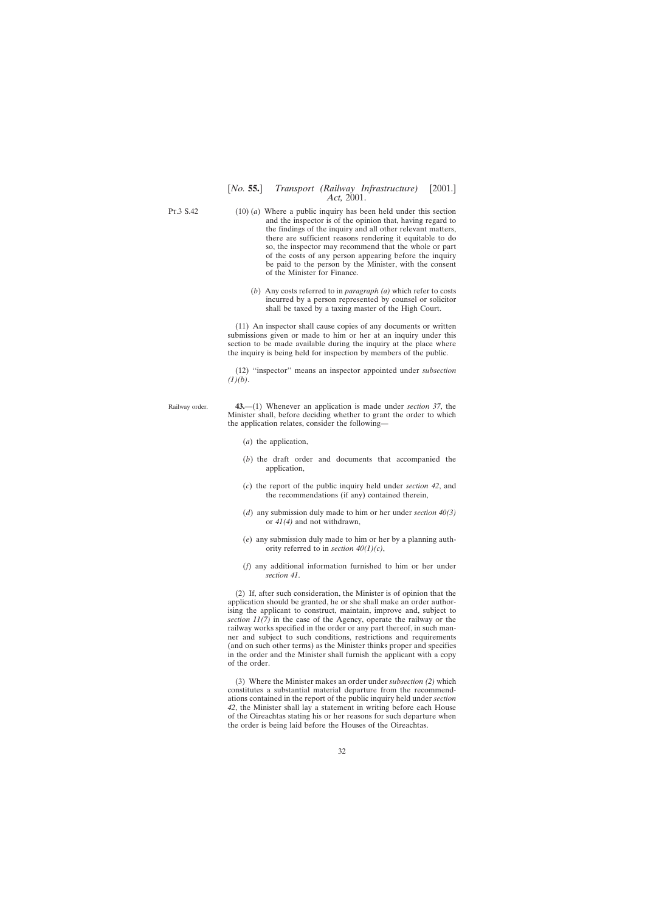<span id="page-31-0"></span>P<sub>T</sub> 3 S 42

- (10) (*a*) Where a public inquiry has been held under this section and the inspector is of the opinion that, having regard to the findings of the inquiry and all other relevant matters, there are sufficient reasons rendering it equitable to do so, the inspector may recommend that the whole or part of the costs of any person appearing before the inquiry be paid to the person by the Minister, with the consent of the Minister for Finance.
	- (*b*) Any costs referred to in *paragraph (a)* which refer to costs incurred by a person represented by counsel or solicitor shall be taxed by a taxing master of the High Court.

(11) An inspector shall cause copies of any documents or written submissions given or made to him or her at an inquiry under this section to be made available during the inquiry at the place where the inquiry is being held for inspection by members of the public.

(12) ''inspector'' means an inspector appointed under *subsection (1)(b)*.

Railway order. **43.**—(1) Whenever an application is made under *section 37*, the Minister shall, before deciding whether to grant the order to which the application relates, consider the following—

- (*a*) the application,
- (*b*) the draft order and documents that accompanied the application,
- (*c*) the report of the public inquiry held under *section 42*, and the recommendations (if any) contained therein,
- (*d*) any submission duly made to him or her under *section 40(3)* or *41(4)* and not withdrawn,
- (*e*) any submission duly made to him or her by a planning authority referred to in *section 40(1)(c)*,
- (*f*) any additional information furnished to him or her under *section 41*.

(2) If, after such consideration, the Minister is of opinion that the application should be granted, he or she shall make an order authorising the applicant to construct, maintain, improve and, subject to *section 11(7)* in the case of the Agency, operate the railway or the railway works specified in the order or any part thereof, in such manner and subject to such conditions, restrictions and requirements (and on such other terms) as the Minister thinks proper and specifies in the order and the Minister shall furnish the applicant with a copy of the order.

(3) Where the Minister makes an order under *subsection (2)* which constitutes a substantial material departure from the recommendations contained in the report of the public inquiry held under *section 42*, the Minister shall lay a statement in writing before each House of the Oireachtas stating his or her reasons for such departure when the order is being laid before the Houses of the Oireachtas.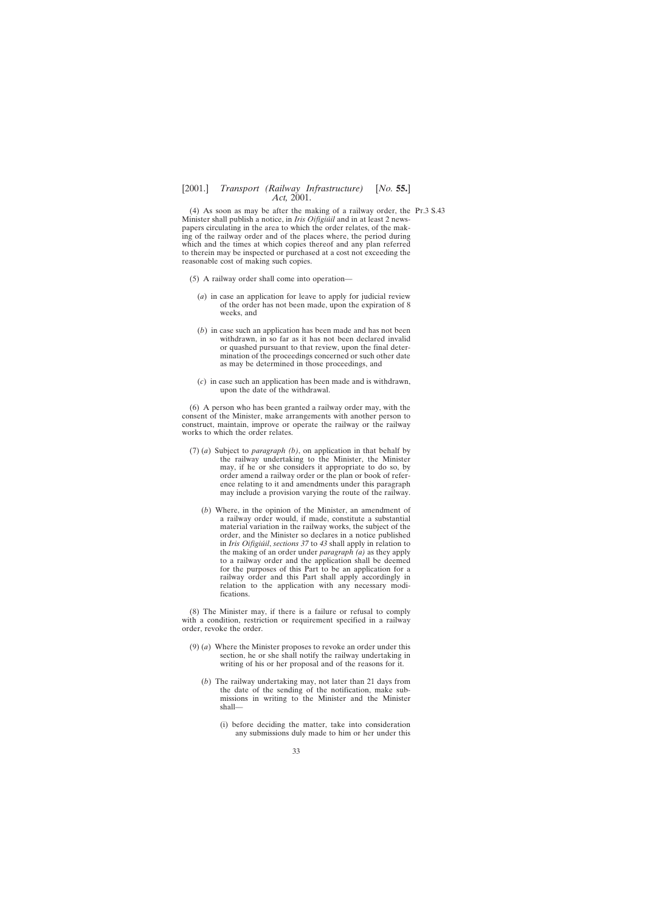(4) As soon as may be after the making of a railway order, the Pt.3 S.43Minister shall publish a notice, in *Iris Oifigiúil* and in at least 2 newspapers circulating in the area to which the order relates, of the making of the railway order and of the places where, the period during which and the times at which copies thereof and any plan referred to therein may be inspected or purchased at a cost not exceeding the reasonable cost of making such copies.

- (5) A railway order shall come into operation—
	- (*a*) in case an application for leave to apply for judicial review of the order has not been made, upon the expiration of 8 weeks, and
	- (*b*) in case such an application has been made and has not been withdrawn, in so far as it has not been declared invalid or quashed pursuant to that review, upon the final determination of the proceedings concerned or such other date as may be determined in those proceedings, and
	- (*c*) in case such an application has been made and is withdrawn, upon the date of the withdrawal.

(6) A person who has been granted a railway order may, with the consent of the Minister, make arrangements with another person to construct, maintain, improve or operate the railway or the railway works to which the order relates.

- (7) (*a*) Subject to *paragraph (b)*, on application in that behalf by the railway undertaking to the Minister, the Minister may, if he or she considers it appropriate to do so, by order amend a railway order or the plan or book of reference relating to it and amendments under this paragraph may include a provision varying the route of the railway.
	- (*b*) Where, in the opinion of the Minister, an amendment of a railway order would, if made, constitute a substantial material variation in the railway works, the subject of the order, and the Minister so declares in a notice published in *Iris Oifigiu´il*, *sections 37* to *43* shall apply in relation to the making of an order under *paragraph (a)* as they apply to a railway order and the application shall be deemed for the purposes of this Part to be an application for a railway order and this Part shall apply accordingly in relation to the application with any necessary modifications.

(8) The Minister may, if there is a failure or refusal to comply with a condition, restriction or requirement specified in a railway order, revoke the order.

- (9) (*a*) Where the Minister proposes to revoke an order under this section, he or she shall notify the railway undertaking in writing of his or her proposal and of the reasons for it.
	- (*b*) The railway undertaking may, not later than 21 days from the date of the sending of the notification, make submissions in writing to the Minister and the Minister shall—
		- (i) before deciding the matter, take into consideration any submissions duly made to him or her under this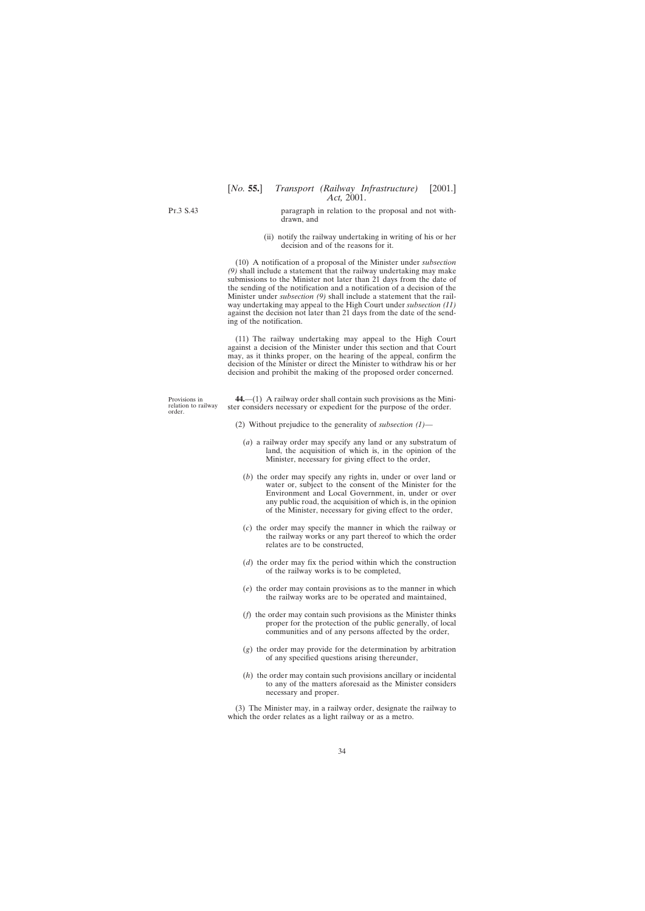<span id="page-33-0"></span>Pt.3 S.43

paragraph in relation to the proposal and not withdrawn, and

(ii) notify the railway undertaking in writing of his or her decision and of the reasons for it.

(10) A notification of a proposal of the Minister under *subsection (9)* shall include a statement that the railway undertaking may make submissions to the Minister not later than 21 days from the date of the sending of the notification and a notification of a decision of the Minister under *subsection (9)* shall include a statement that the railway undertaking may appeal to the High Court under *subsection (11)* against the decision not later than 21 days from the date of the sending of the notification.

(11) The railway undertaking may appeal to the High Court against a decision of the Minister under this section and that Court may, as it thinks proper, on the hearing of the appeal, confirm the decision of the Minister or direct the Minister to withdraw his or her decision and prohibit the making of the proposed order concerned.

**44.**—(1) A railway order shall contain such provisions as the Minister considers necessary or expedient for the purpose of the order.

- (2) Without prejudice to the generality of *subsection (1)*
	- (*a*) a railway order may specify any land or any substratum of land, the acquisition of which is, in the opinion of the Minister, necessary for giving effect to the order,
	- (*b*) the order may specify any rights in, under or over land or water or, subject to the consent of the Minister for the Environment and Local Government, in, under or over any public road, the acquisition of which is, in the opinion of the Minister, necessary for giving effect to the order,
	- (*c*) the order may specify the manner in which the railway or the railway works or any part thereof to which the order relates are to be constructed,
	- (*d*) the order may fix the period within which the construction of the railway works is to be completed,
	- (*e*) the order may contain provisions as to the manner in which the railway works are to be operated and maintained,
	- (*f*) the order may contain such provisions as the Minister thinks proper for the protection of the public generally, of local communities and of any persons affected by the order,
	- (*g*) the order may provide for the determination by arbitration of any specified questions arising thereunder,
	- (*h*) the order may contain such provisions ancillary or incidental to any of the matters aforesaid as the Minister considers necessary and proper.

(3) The Minister may, in a railway order, designate the railway to which the order relates as a light railway or as a metro.

Provisions in relation to railway order.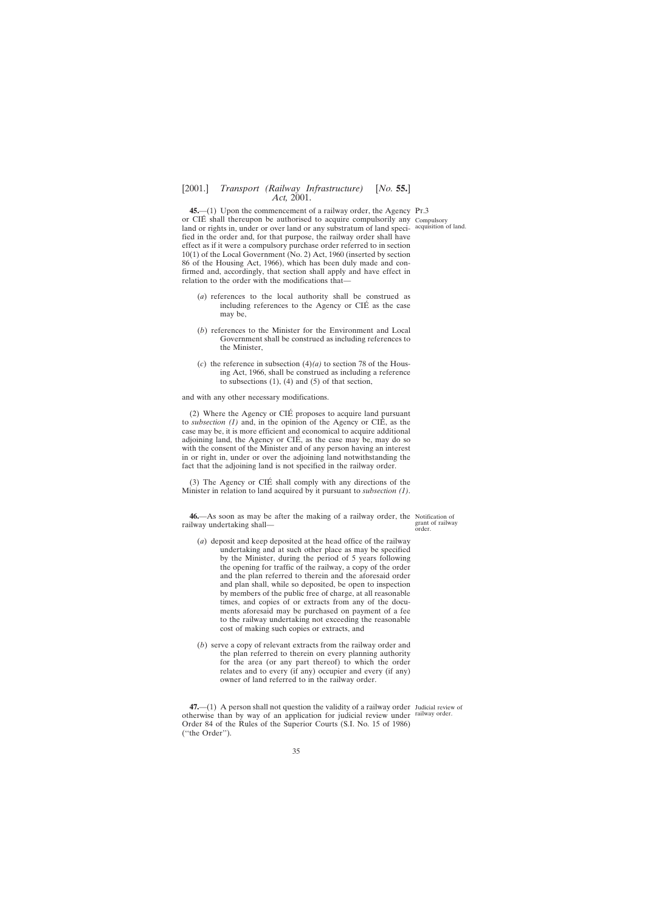<span id="page-34-0"></span>**45.**—(1) Upon the commencement of a railway order, the Agency Pt.3 or CIÉ shall thereupon be authorised to acquire compulsorily any Compulsory land or rights in, under or over land or any substratum of land speci- acquisition of land. fied in the order and, for that purpose, the railway order shall have effect as if it were a compulsory purchase order referred to in section 10(1) of the Local Government (No. 2) Act, 1960 (inserted by section 86 of the Housing Act, 1966), which has been duly made and confirmed and, accordingly, that section shall apply and have effect in relation to the order with the modifications that—

- (*a*) references to the local authority shall be construed as including references to the Agency or CIÉ as the case may be,
- (*b*) references to the Minister for the Environment and Local Government shall be construed as including references to the Minister,
- (c) the reference in subsection  $(4)(a)$  to section 78 of the Housing Act, 1966, shall be construed as including a reference to subsections  $(1)$ ,  $(4)$  and  $(5)$  of that section,

and with any other necessary modifications.

(2) Where the Agency or CIE´ proposes to acquire land pursuant to *subsection*  $(1)$  and, in the opinion of the Agency or CIE, as the case may be, it is more efficient and economical to acquire additional adjoining land, the Agency or CIÉ, as the case may be, may do so with the consent of the Minister and of any person having an interest in or right in, under or over the adjoining land notwithstanding the fact that the adjoining land is not specified in the railway order.

(3) The Agency or CIE´ shall comply with any directions of the Minister in relation to land acquired by it pursuant to *subsection (1)*.

**46.**—As soon as may be after the making of a railway order, the Notification of railway undertaking shall—

- (*a*) deposit and keep deposited at the head office of the railway undertaking and at such other place as may be specified by the Minister, during the period of 5 years following the opening for traffic of the railway, a copy of the order and the plan referred to therein and the aforesaid order and plan shall, while so deposited, be open to inspection by members of the public free of charge, at all reasonable times, and copies of or extracts from any of the documents aforesaid may be purchased on payment of a fee to the railway undertaking not exceeding the reasonable cost of making such copies or extracts, and
- (*b*) serve a copy of relevant extracts from the railway order and the plan referred to therein on every planning authority for the area (or any part thereof) to which the order relates and to every (if any) occupier and every (if any) owner of land referred to in the railway order.

**47.**—(1) A person shall not question the validity of a railway order Judicial review of otherwise than by way of an application for judicial review under railway order. Order 84 of the Rules of the Superior Courts (S.I. No. 15 of 1986) (''the Order'').

grant of railway order.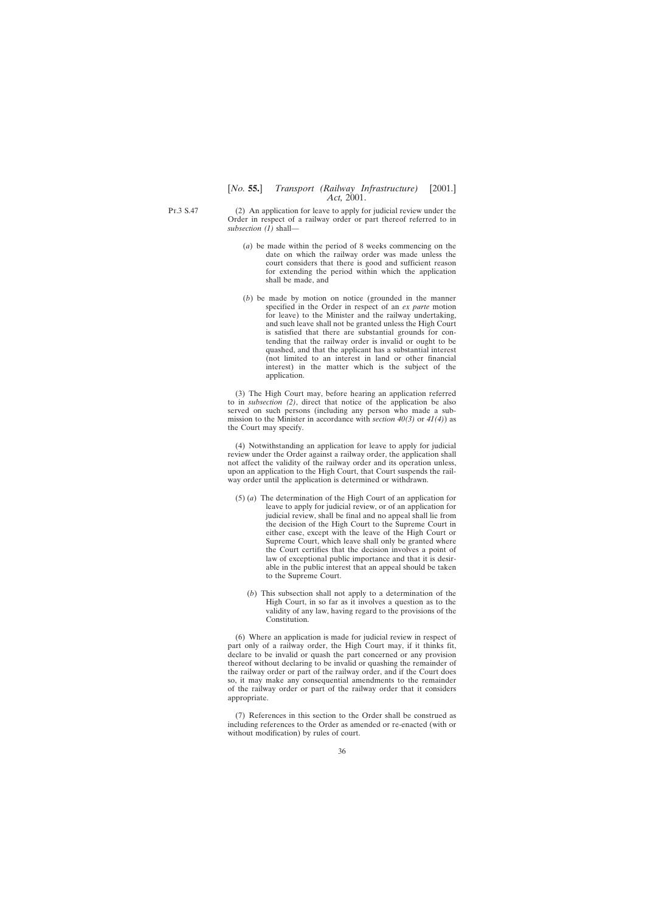Pt.3 S.47

(2) An application for leave to apply for judicial review under the Order in respect of a railway order or part thereof referred to in *subsection (1)* shall—

- (*a*) be made within the period of 8 weeks commencing on the date on which the railway order was made unless the court considers that there is good and sufficient reason for extending the period within which the application shall be made, and
- (*b*) be made by motion on notice (grounded in the manner specified in the Order in respect of an *ex parte* motion for leave) to the Minister and the railway undertaking, and such leave shall not be granted unless the High Court is satisfied that there are substantial grounds for contending that the railway order is invalid or ought to be quashed, and that the applicant has a substantial interest (not limited to an interest in land or other financial interest) in the matter which is the subject of the application.

(3) The High Court may, before hearing an application referred to in *subsection (2)*, direct that notice of the application be also served on such persons (including any person who made a submission to the Minister in accordance with *section 40(3)* or *41(4)*) as the Court may specify.

(4) Notwithstanding an application for leave to apply for judicial review under the Order against a railway order, the application shall not affect the validity of the railway order and its operation unless, upon an application to the High Court, that Court suspends the railway order until the application is determined or withdrawn.

- (5) (*a*) The determination of the High Court of an application for leave to apply for judicial review, or of an application for judicial review, shall be final and no appeal shall lie from the decision of the High Court to the Supreme Court in either case, except with the leave of the High Court or Supreme Court, which leave shall only be granted where the Court certifies that the decision involves a point of law of exceptional public importance and that it is desirable in the public interest that an appeal should be taken to the Supreme Court.
	- (*b*) This subsection shall not apply to a determination of the High Court, in so far as it involves a question as to the validity of any law, having regard to the provisions of the Constitution.

(6) Where an application is made for judicial review in respect of part only of a railway order, the High Court may, if it thinks fit, declare to be invalid or quash the part concerned or any provision thereof without declaring to be invalid or quashing the remainder of the railway order or part of the railway order, and if the Court does so, it may make any consequential amendments to the remainder of the railway order or part of the railway order that it considers appropriate.

(7) References in this section to the Order shall be construed as including references to the Order as amended or re-enacted (with or without modification) by rules of court.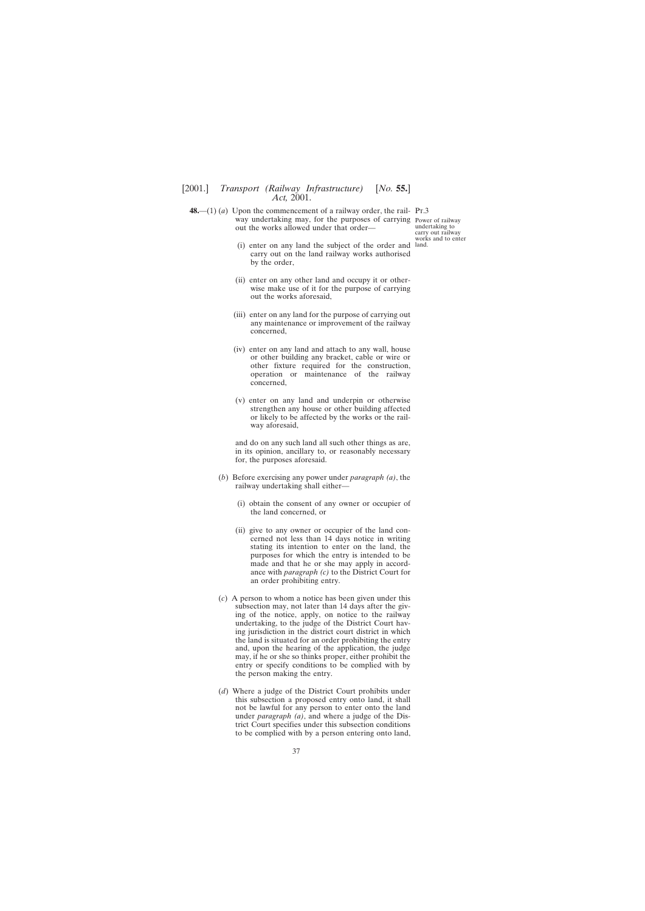<span id="page-36-0"></span>**48.**—(1) (*a*) Upon the commencement of a railway order, the rail- Pr.3 way undertaking may, for the purposes of carrying Power of railway out the works allowed under that order—

undertaking to carry out railway works and to enter

- (i) enter on any land the subject of the order and land.carry out on the land railway works authorised by the order,
- (ii) enter on any other land and occupy it or otherwise make use of it for the purpose of carrying out the works aforesaid,
- (iii) enter on any land for the purpose of carrying out any maintenance or improvement of the railway concerned,
- (iv) enter on any land and attach to any wall, house or other building any bracket, cable or wire or other fixture required for the construction, operation or maintenance of the railway concerned,
- (v) enter on any land and underpin or otherwise strengthen any house or other building affected or likely to be affected by the works or the railway aforesaid,

and do on any such land all such other things as are, in its opinion, ancillary to, or reasonably necessary for, the purposes aforesaid.

- (*b*) Before exercising any power under *paragraph (a)*, the railway undertaking shall either—
	- (i) obtain the consent of any owner or occupier of the land concerned, or
	- (ii) give to any owner or occupier of the land concerned not less than 14 days notice in writing stating its intention to enter on the land, the purposes for which the entry is intended to be made and that he or she may apply in accordance with *paragraph (c)* to the District Court for an order prohibiting entry.
- (*c*) A person to whom a notice has been given under this subsection may, not later than 14 days after the giving of the notice, apply, on notice to the railway undertaking, to the judge of the District Court having jurisdiction in the district court district in which the land is situated for an order prohibiting the entry and, upon the hearing of the application, the judge may, if he or she so thinks proper, either prohibit the entry or specify conditions to be complied with by the person making the entry.
- (*d*) Where a judge of the District Court prohibits under this subsection a proposed entry onto land, it shall not be lawful for any person to enter onto the land under *paragraph (a)*, and where a judge of the District Court specifies under this subsection conditions to be complied with by a person entering onto land,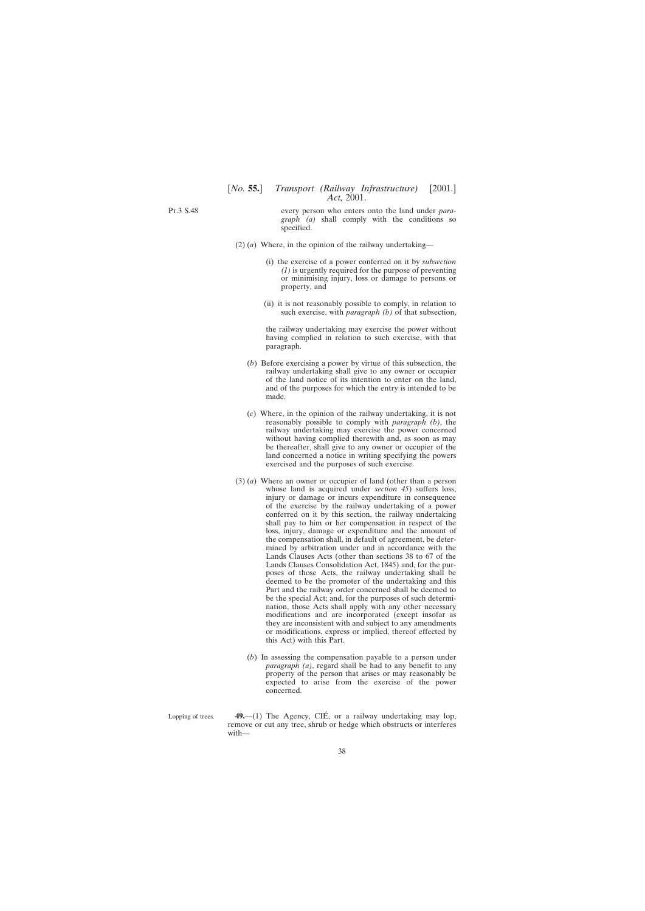<span id="page-37-0"></span>Pt.3 S.48

every person who enters onto the land under *paragraph (a)* shall comply with the conditions so specified.

- (2) (*a*) Where, in the opinion of the railway undertaking—
	- (i) the exercise of a power conferred on it by *subsection (1)* is urgently required for the purpose of preventing or minimising injury, loss or damage to persons or property, and
	- (ii) it is not reasonably possible to comply, in relation to such exercise, with *paragraph (b)* of that subsection,

the railway undertaking may exercise the power without having complied in relation to such exercise, with that paragraph.

- (*b*) Before exercising a power by virtue of this subsection, the railway undertaking shall give to any owner or occupier of the land notice of its intention to enter on the land, and of the purposes for which the entry is intended to be made.
- (*c*) Where, in the opinion of the railway undertaking, it is not reasonably possible to comply with *paragraph (b)*, the railway undertaking may exercise the power concerned without having complied therewith and, as soon as may be thereafter, shall give to any owner or occupier of the land concerned a notice in writing specifying the powers exercised and the purposes of such exercise.
- (3) (*a*) Where an owner or occupier of land (other than a person whose land is acquired under *section 45*) suffers loss, injury or damage or incurs expenditure in consequence of the exercise by the railway undertaking of a power conferred on it by this section, the railway undertaking shall pay to him or her compensation in respect of the loss, injury, damage or expenditure and the amount of the compensation shall, in default of agreement, be determined by arbitration under and in accordance with the Lands Clauses Acts (other than sections 38 to 67 of the Lands Clauses Consolidation Act, 1845) and, for the purposes of those Acts, the railway undertaking shall be deemed to be the promoter of the undertaking and this Part and the railway order concerned shall be deemed to be the special Act; and, for the purposes of such determination, those Acts shall apply with any other necessary modifications and are incorporated (except insofar as they are inconsistent with and subject to any amendments or modifications, express or implied, thereof effected by this Act) with this Part.
	- (*b*) In assessing the compensation payable to a person under *paragraph (a)*, regard shall be had to any benefit to any property of the person that arises or may reasonably be expected to arise from the exercise of the power concerned.
- Lopping of trees. 49.—(1) The Agency, CIÉ, or a railway undertaking may lop, remove or cut any tree, shrub or hedge which obstructs or interferes with—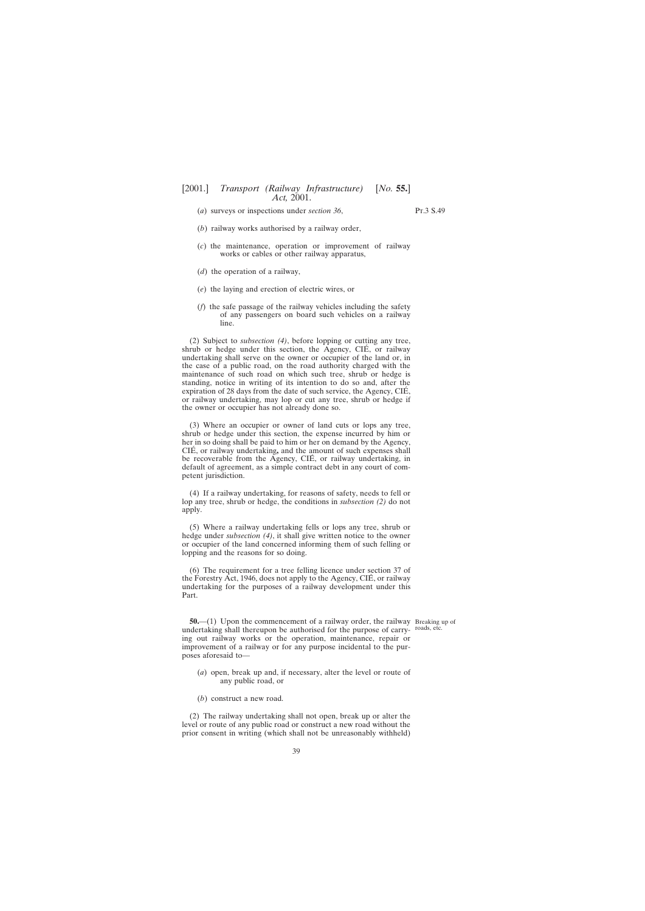<span id="page-38-0"></span>(*a*) surveys or inspections under *section 36*,

Pt.3 S.49

- (*b*) railway works authorised by a railway order,
- (*c*) the maintenance, operation or improvement of railway works or cables or other railway apparatus,
- (*d*) the operation of a railway,
- (*e*) the laying and erection of electric wires, or
- (*f*) the safe passage of the railway vehicles including the safety of any passengers on board such vehicles on a railway line.

(2) Subject to *subsection (4)*, before lopping or cutting any tree, shrub or hedge under this section, the  $\widehat{Age}$  ncy, CIÉ, or railway undertaking shall serve on the owner or occupier of the land or, in the case of a public road, on the road authority charged with the maintenance of such road on which such tree, shrub or hedge is standing, notice in writing of its intention to do so and, after the expiration of 28 days from the date of such service, the Agency, CIÉ, or railway undertaking, may lop or cut any tree, shrub or hedge if the owner or occupier has not already done so.

(3) Where an occupier or owner of land cuts or lops any tree, shrub or hedge under this section, the expense incurred by him or her in so doing shall be paid to him or her on demand by the Agency, CIÉ, or railway undertaking, and the amount of such expenses shall be recoverable from the Agency, CIÉ, or railway undertaking, in default of agreement, as a simple contract debt in any court of competent jurisdiction.

(4) If a railway undertaking, for reasons of safety, needs to fell or lop any tree, shrub or hedge, the conditions in *subsection (2)* do not apply.

(5) Where a railway undertaking fells or lops any tree, shrub or hedge under *subsection (4)*, it shall give written notice to the owner or occupier of the land concerned informing them of such felling or lopping and the reasons for so doing.

(6) The requirement for a tree felling licence under section 37 of the Forestry Act, 1946, does not apply to the Agency,  $\text{CIÉ}$ , or railway undertaking for the purposes of a railway development under this Part.

**50.**—(1) Upon the commencement of a railway order, the railway Breaking up of undertaking shall thereupon be authorised for the purpose of carry- roads, etc. ing out railway works or the operation, maintenance, repair or improvement of a railway or for any purpose incidental to the purposes aforesaid to—

- (*a*) open, break up and, if necessary, alter the level or route of any public road, or
- (*b*) construct a new road.

(2) The railway undertaking shall not open, break up or alter the level or route of any public road or construct a new road without the prior consent in writing (which shall not be unreasonably withheld)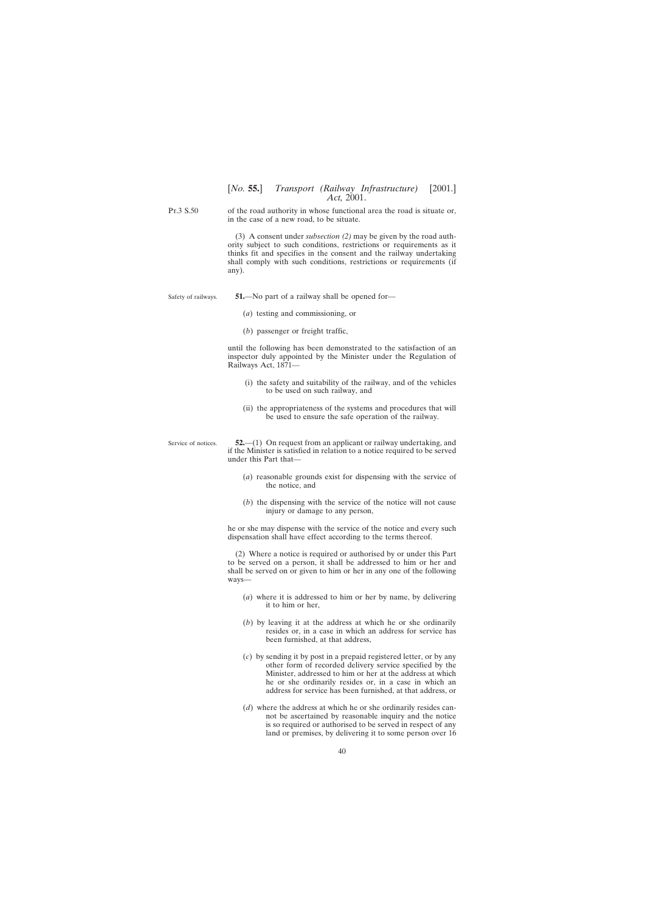<span id="page-39-0"></span>Pt.3 S.50 of the road authority in whose functional area the road is situate or, in the case of a new road, to be situate.

> (3) A consent under *subsection (2)* may be given by the road authority subject to such conditions, restrictions or requirements as it thinks fit and specifies in the consent and the railway undertaking shall comply with such conditions, restrictions or requirements (if any).

Safety of railways.

Service of notices.

**51.**—No part of a railway shall be opened for—

- (*a*) testing and commissioning, or
- (*b*) passenger or freight traffic,

until the following has been demonstrated to the satisfaction of an inspector duly appointed by the Minister under the Regulation of Railways Act, 1871—

- (i) the safety and suitability of the railway, and of the vehicles to be used on such railway, and
- (ii) the appropriateness of the systems and procedures that will be used to ensure the safe operation of the railway.

**52.**—(1) On request from an applicant or railway undertaking, and if the Minister is satisfied in relation to a notice required to be served under this Part that—

- (*a*) reasonable grounds exist for dispensing with the service of the notice, and
- (*b*) the dispensing with the service of the notice will not cause injury or damage to any person,

he or she may dispense with the service of the notice and every such dispensation shall have effect according to the terms thereof.

(2) Where a notice is required or authorised by or under this Part to be served on a person, it shall be addressed to him or her and shall be served on or given to him or her in any one of the following ways—

- (*a*) where it is addressed to him or her by name, by delivering it to him or her,
- (*b*) by leaving it at the address at which he or she ordinarily resides or, in a case in which an address for service has been furnished, at that address,
- (*c*) by sending it by post in a prepaid registered letter, or by any other form of recorded delivery service specified by the Minister, addressed to him or her at the address at which he or she ordinarily resides or, in a case in which an address for service has been furnished, at that address, or
- (*d*) where the address at which he or she ordinarily resides cannot be ascertained by reasonable inquiry and the notice is so required or authorised to be served in respect of any land or premises, by delivering it to some person over 16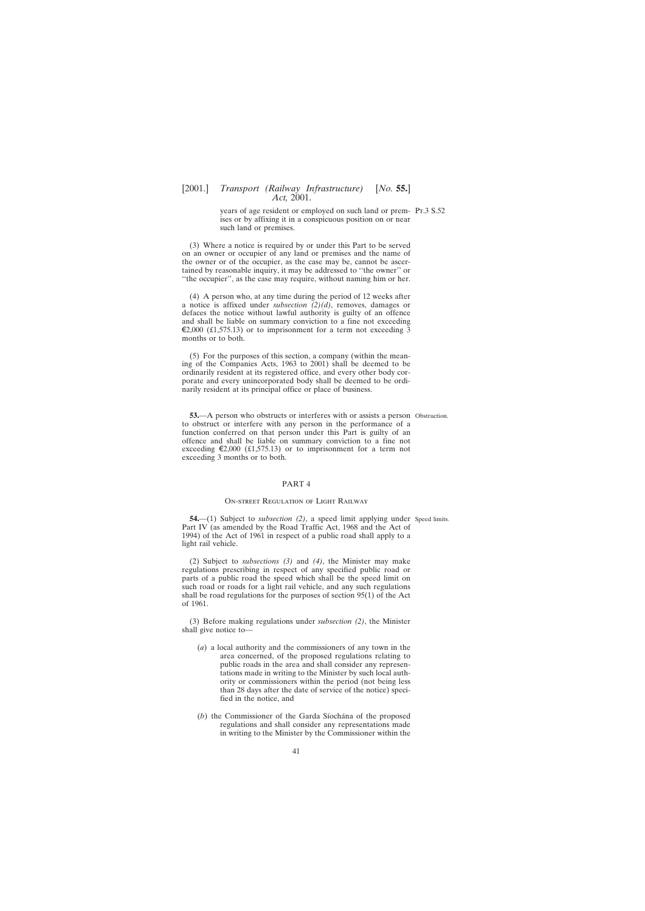<span id="page-40-0"></span>years of age resident or employed on such land or prem-Pt.3 S.52 ises or by affixing it in a conspicuous position on or near such land or premises.

(3) Where a notice is required by or under this Part to be served on an owner or occupier of any land or premises and the name of the owner or of the occupier, as the case may be, cannot be ascertained by reasonable inquiry, it may be addressed to ''the owner'' or "the occupier", as the case may require, without naming him or her.

(4) A person who, at any time during the period of 12 weeks after a notice is affixed under *subsection (2)(d)*, removes, damages or defaces the notice without lawful authority is guilty of an offence and shall be liable on summary conviction to a fine not exceeding  $\epsilon$ 2,000 (£1,575.13) or to imprisonment for a term not exceeding 3 months or to both.

(5) For the purposes of this section, a company (within the meaning of the Companies Acts, 1963 to 2001) shall be deemed to be ordinarily resident at its registered office, and every other body corporate and every unincorporated body shall be deemed to be ordinarily resident at its principal office or place of business.

**53.—A** person who obstructs or interferes with or assists a person Obstruction. to obstruct or interfere with any person in the performance of a function conferred on that person under this Part is guilty of an offence and shall be liable on summary conviction to a fine not exceeding  $\epsilon$ 2,000 (£1,575.13) or to imprisonment for a term not exceeding 3 months or to both.

## PART 4

#### On-street Regulation of Light Railway

**54.**—(1) Subject to *subsection* (2), a speed limit applying under Speed limits. Part IV (as amended by the Road Traffic Act, 1968 and the Act of 1994) of the Act of 1961 in respect of a public road shall apply to a light rail vehicle.

(2) Subject to *subsections (3)* and *(4)*, the Minister may make regulations prescribing in respect of any specified public road or parts of a public road the speed which shall be the speed limit on such road or roads for a light rail vehicle, and any such regulations shall be road regulations for the purposes of section 95(1) of the Act of 1961.

(3) Before making regulations under *subsection (2)*, the Minister shall give notice to—

- (*a*) a local authority and the commissioners of any town in the area concerned, of the proposed regulations relating to public roads in the area and shall consider any representations made in writing to the Minister by such local authority or commissioners within the period (not being less than 28 days after the date of service of the notice) specified in the notice, and
- (*b*) the Commissioner of the Garda Síochána of the proposed regulations and shall consider any representations made in writing to the Minister by the Commissioner within the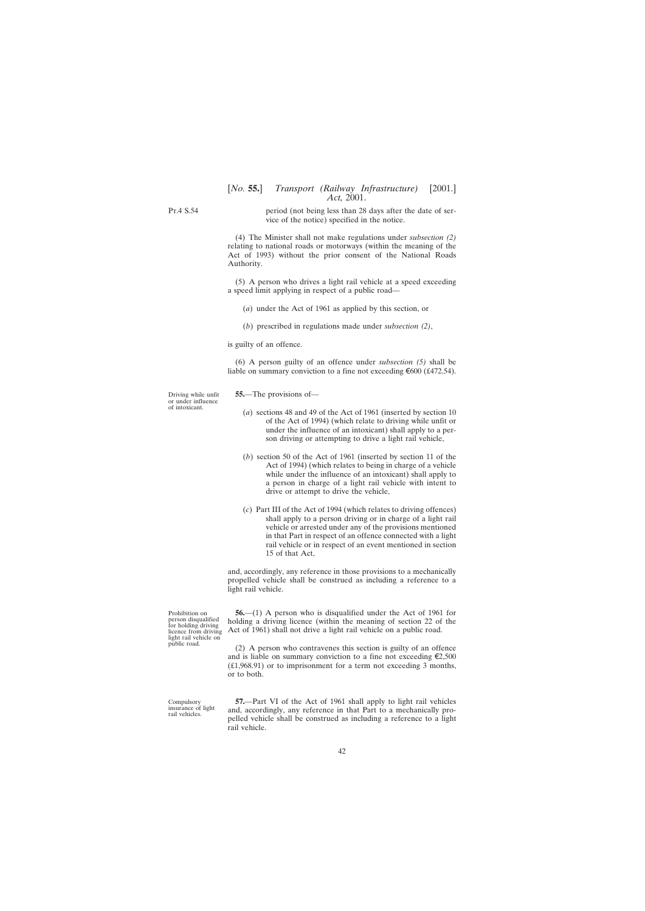<span id="page-41-0"></span>Pt.4 S.54

period (not being less than 28 days after the date of service of the notice) specified in the notice.

(4) The Minister shall not make regulations under *subsection (2)* relating to national roads or motorways (within the meaning of the Act of 1993) without the prior consent of the National Roads Authority.

(5) A person who drives a light rail vehicle at a speed exceeding a speed limit applying in respect of a public road—

- (*a*) under the Act of 1961 as applied by this section, or
- (*b*) prescribed in regulations made under *subsection (2)*,

is guilty of an offence.

(6) A person guilty of an offence under *subsection (5)* shall be liable on summary conviction to a fine not exceeding  $\epsilon$ 600 (£472.54).

**55.**—The provisions of—

- (*a*) sections 48 and 49 of the Act of 1961 (inserted by section 10 of the Act of 1994) (which relate to driving while unfit or under the influence of an intoxicant) shall apply to a person driving or attempting to drive a light rail vehicle,
- (*b*) section 50 of the Act of 1961 (inserted by section 11 of the Act of 1994) (which relates to being in charge of a vehicle while under the influence of an intoxicant) shall apply to a person in charge of a light rail vehicle with intent to drive or attempt to drive the vehicle,
- (*c*) Part III of the Act of 1994 (which relates to driving offences) shall apply to a person driving or in charge of a light rail vehicle or arrested under any of the provisions mentioned in that Part in respect of an offence connected with a light rail vehicle or in respect of an event mentioned in section 15 of that Act,

and, accordingly, any reference in those provisions to a mechanically propelled vehicle shall be construed as including a reference to a light rail vehicle.

**56.**—(1) A person who is disqualified under the Act of 1961 for holding a driving licence (within the meaning of section 22 of the Act of 1961) shall not drive a light rail vehicle on a public road.

(2) A person who contravenes this section is guilty of an offence and is liable on summary conviction to a fine not exceeding  $\epsilon$ 2,500 (£1,968.91) or to imprisonment for a term not exceeding 3 months, or to both.

**57.**—Part VI of the Act of 1961 shall apply to light rail vehicles and, accordingly, any reference in that Part to a mechanically propelled vehicle shall be construed as including a reference to a light rail vehicle.

Driving while unfit or under influence of intoxicant.

Prohibition on person disqualified for holding driving licence from driving light rail vehicle on public road.

Compulsory insurance of light rail vehicles.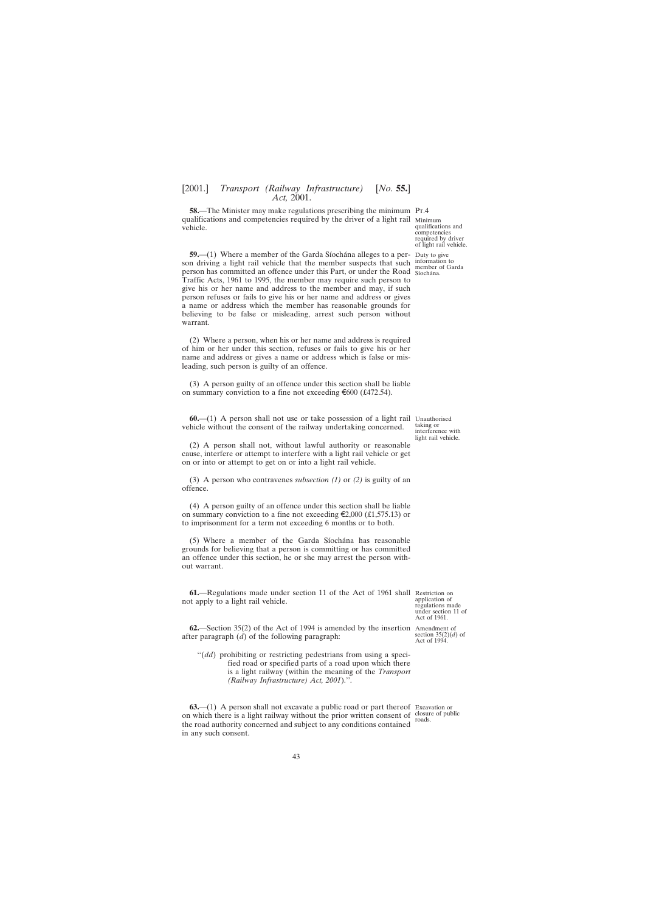<span id="page-42-0"></span>**58.—The Minister may make regulations prescribing the minimum Pr.4** qualifications and competencies required by the driver of a light rail Minimum vehicle.

**59.**—(1) Where a member of the Garda Síochána alleges to a per- Duty to give son driving a light rail vehicle that the member suspects that such person has committed an offence under this Part, or under the Road Sochana. Traffic Acts, 1961 to 1995, the member may require such person to give his or her name and address to the member and may, if such person refuses or fails to give his or her name and address or gives a name or address which the member has reasonable grounds for believing to be false or misleading, arrest such person without warrant.

(2) Where a person, when his or her name and address is required of him or her under this section, refuses or fails to give his or her name and address or gives a name or address which is false or misleading, such person is guilty of an offence.

(3) A person guilty of an offence under this section shall be liable on summary conviction to a fine not exceeding  $\epsilon$ 600 (£472.54).

**60.**—(1) A person shall not use or take possession of a light rail Unauthorised vehicle without the consent of the railway undertaking concerned.

(2) A person shall not, without lawful authority or reasonable cause, interfere or attempt to interfere with a light rail vehicle or get on or into or attempt to get on or into a light rail vehicle.

(3) A person who contravenes *subsection (1)* or *(2)* is guilty of an offence.

(4) A person guilty of an offence under this section shall be liable on summary conviction to a fine not exceeding  $\epsilon$ 2,000 (£1,575.13) or to imprisonment for a term not exceeding 6 months or to both.

(5) Where a member of the Garda Síochána has reasonable grounds for believing that a person is committing or has committed an offence under this section, he or she may arrest the person without warrant.

**61.**—Regulations made under section 11 of the Act of 1961 shall Restriction on not apply to a light rail vehicle.

**62.**—Section 35(2) of the Act of 1994 is amended by the insertion Amendment of after paragraph (*d*) of the following paragraph:

''(*dd*) prohibiting or restricting pedestrians from using a specified road or specified parts of a road upon which there is a light railway (within the meaning of the *Transport (Railway Infrastructure) Act, 2001*).''.

**63.**—(1) A person shall not excavate a public road or part thereof Excavation or on which there is a light railway without the prior written consent of the road authority concerned and subject to any conditions contained in any such consent.

qualifications and competencies required by driver of light rail vehicle.

information to member of Garda

taking or interference with light rail vehicle.

application of regulations made under section 11 of Act of 1961.

section  $35(2)(d)$  of Act of 1994.

closure of public roads.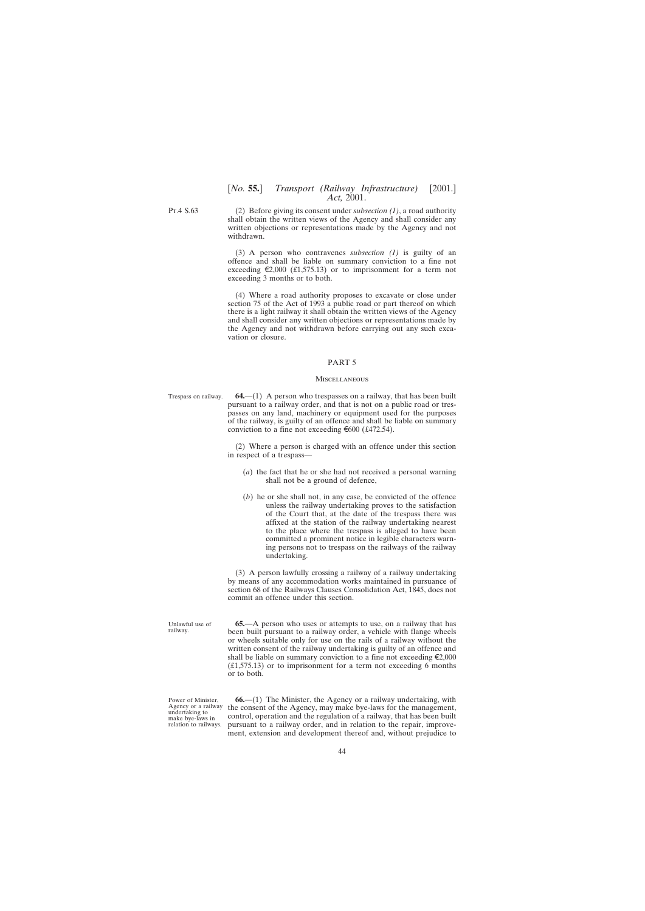<span id="page-43-0"></span>Pt.4 S.63

(2) Before giving its consent under *subsection (1)*, a road authority shall obtain the written views of the Agency and shall consider any written objections or representations made by the Agency and not withdrawn.

(3) A person who contravenes *subsection (1)* is guilty of an offence and shall be liable on summary conviction to a fine not exceeding  $\epsilon$ 2,000 (£1,575.13) or to imprisonment for a term not exceeding 3 months or to both.

(4) Where a road authority proposes to excavate or close under section 75 of the Act of 1993 a public road or part thereof on which there is a light railway it shall obtain the written views of the Agency and shall consider any written objections or representations made by the Agency and not withdrawn before carrying out any such excavation or closure.

#### PART 5

#### **MISCELLANEOUS**

Trespass on railway. **64.**—(1) A person who trespasses on a railway, that has been built pursuant to a railway order, and that is not on a public road or trespasses on any land, machinery or equipment used for the purposes of the railway, is guilty of an offence and shall be liable on summary conviction to a fine not exceeding  $\epsilon$ 600 (£472.54).

> (2) Where a person is charged with an offence under this section in respect of a trespass—

- (*a*) the fact that he or she had not received a personal warning shall not be a ground of defence,
- (*b*) he or she shall not, in any case, be convicted of the offence unless the railway undertaking proves to the satisfaction of the Court that, at the date of the trespass there was affixed at the station of the railway undertaking nearest to the place where the trespass is alleged to have been committed a prominent notice in legible characters warning persons not to trespass on the railways of the railway undertaking.

(3) A person lawfully crossing a railway of a railway undertaking by means of any accommodation works maintained in pursuance of section 68 of the Railways Clauses Consolidation Act, 1845, does not commit an offence under this section.

**65.**—A person who uses or attempts to use, on a railway that has been built pursuant to a railway order, a vehicle with flange wheels or wheels suitable only for use on the rails of a railway without the written consent of the railway undertaking is guilty of an offence and shall be liable on summary conviction to a fine not exceeding  $\epsilon$ 2,000  $(£1,575.13)$  or to imprisonment for a term not exceeding 6 months or to both.

Power of Minister, Agency or a railway undertaking to make bye-laws in relation to railways.

Unlawful use of railway.

> **66.**—(1) The Minister, the Agency or a railway undertaking, with the consent of the Agency, may make bye-laws for the management, control, operation and the regulation of a railway, that has been built pursuant to a railway order, and in relation to the repair, improvement, extension and development thereof and, without prejudice to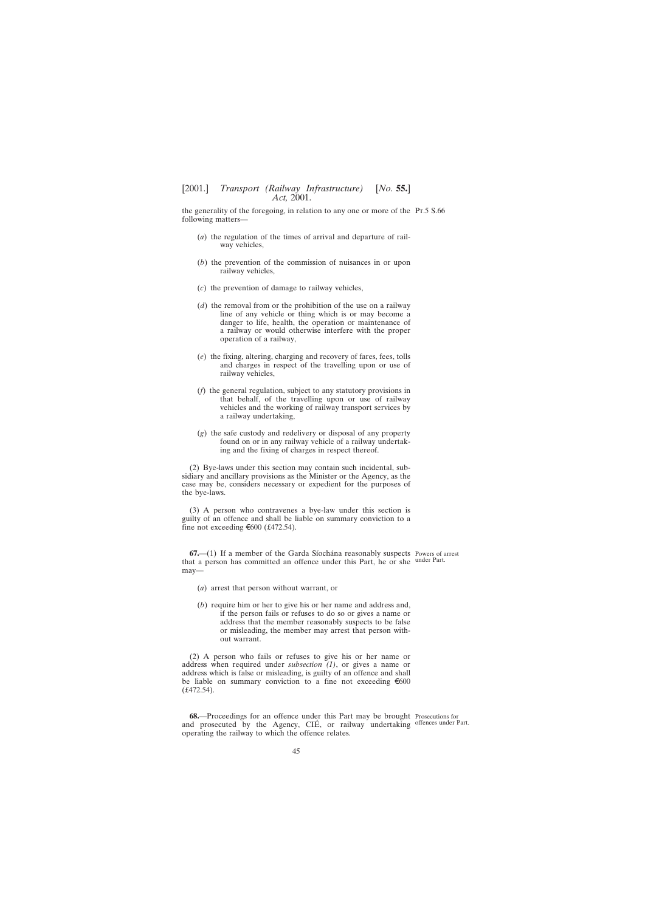<span id="page-44-0"></span>the generality of the foregoing, in relation to any one or more of the Pt.5 S.66 following matters—

- (*a*) the regulation of the times of arrival and departure of railway vehicles,
- (*b*) the prevention of the commission of nuisances in or upon railway vehicles,
- (*c*) the prevention of damage to railway vehicles,
- (*d*) the removal from or the prohibition of the use on a railway line of any vehicle or thing which is or may become a danger to life, health, the operation or maintenance of a railway or would otherwise interfere with the proper operation of a railway,
- (*e*) the fixing, altering, charging and recovery of fares, fees, tolls and charges in respect of the travelling upon or use of railway vehicles,
- (*f*) the general regulation, subject to any statutory provisions in that behalf, of the travelling upon or use of railway vehicles and the working of railway transport services by a railway undertaking,
- (*g*) the safe custody and redelivery or disposal of any property found on or in any railway vehicle of a railway undertaking and the fixing of charges in respect thereof.

(2) Bye-laws under this section may contain such incidental, subsidiary and ancillary provisions as the Minister or the Agency, as the case may be, considers necessary or expedient for the purposes of the bye-laws.

(3) A person who contravenes a bye-law under this section is guilty of an offence and shall be liable on summary conviction to a fine not exceeding  $\epsilon$ 600 (£472.54).

**67.**—(1) If a member of the Garda Síochána reasonably suspects Powers of arrest that a person has committed an offence under this Part, he or she under Part. may—

- (*a*) arrest that person without warrant, or
- (*b*) require him or her to give his or her name and address and, if the person fails or refuses to do so or gives a name or address that the member reasonably suspects to be false or misleading, the member may arrest that person without warrant.

(2) A person who fails or refuses to give his or her name or address when required under *subsection (1)*, or gives a name or address which is false or misleading, is guilty of an offence and shall be liable on summary conviction to a fine not exceeding  $\epsilon$ 600  $(f.472.54)$ .

**68.**—Proceedings for an offence under this Part may be brought Prosecutions for and prosecuted by the Agency, CIÉ, or railway undertaking offences under Part. operating the railway to which the offence relates.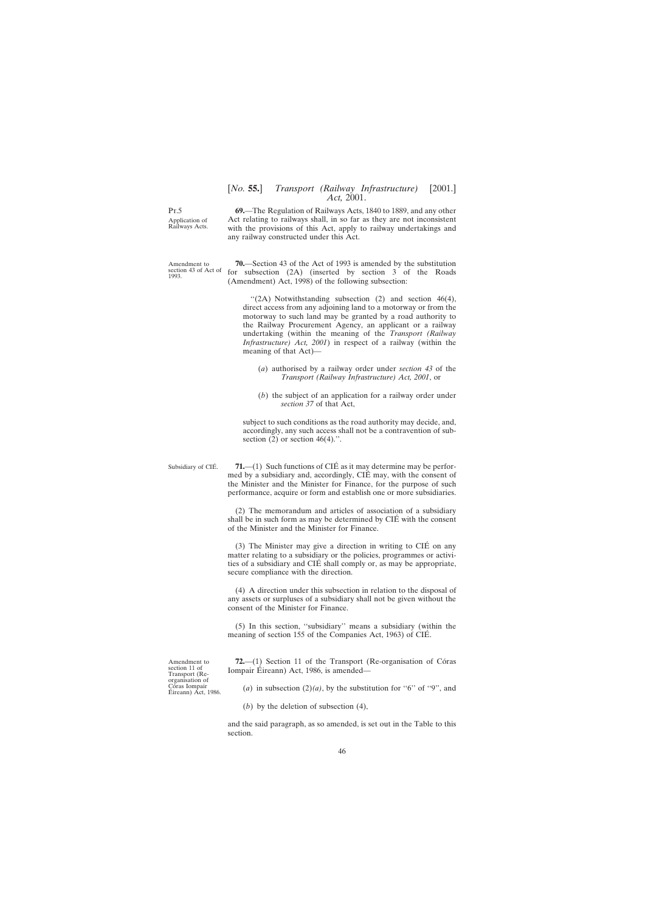<span id="page-45-0"></span>Pt.5 Application of Railways Acts.

Amendment to section 43 of Act of 1993.

**69.**—The Regulation of Railways Acts, 1840 to 1889, and any other Act relating to railways shall, in so far as they are not inconsistent with the provisions of this Act, apply to railway undertakings and any railway constructed under this Act.

**70.**—Section 43 of the Act of 1993 is amended by the substitution for subsection (2A) (inserted by section 3 of the Roads (Amendment) Act, 1998) of the following subsection:

 $\lq(2A)$  Notwithstanding subsection (2) and section 46(4), direct access from any adjoining land to a motorway or from the motorway to such land may be granted by a road authority to the Railway Procurement Agency, an applicant or a railway undertaking (within the meaning of the *Transport (Railway Infrastructure) Act, 2001*) in respect of a railway (within the meaning of that Act)—

- (*a*) authorised by a railway order under *section 43* of the *Transport (Railway Infrastructure) Act, 2001*, or
- (*b*) the subject of an application for a railway order under *section 37* of that Act,

subject to such conditions as the road authority may decide, and, accordingly, any such access shall not be a contravention of subsection  $(2)$  or section  $46(4)$ .".

Subsidiary of CIÉ.

**71.**—(1) Such functions of CIÉ as it may determine may be performed by a subsidiary and, accordingly, CIÉ may, with the consent of the Minister and the Minister for Finance, for the purpose of such performance, acquire or form and establish one or more subsidiaries.

(2) The memorandum and articles of association of a subsidiary shall be in such form as may be determined by CIÉ with the consent of the Minister and the Minister for Finance.

(3) The Minister may give a direction in writing to  $CIÉ$  on any matter relating to a subsidiary or the policies, programmes or activities of a subsidiary and CIE´ shall comply or, as may be appropriate, secure compliance with the direction.

(4) A direction under this subsection in relation to the disposal of any assets or surpluses of a subsidiary shall not be given without the consent of the Minister for Finance.

(5) In this section, ''subsidiary'' means a subsidiary (within the meaning of section 155 of the Companies Act, 1963) of CIÉ.

**72.**—(1) Section 11 of the Transport (Re-organisation of Córas Iompair Éireann) Act, 1986, is amended-

(*a*) in subsection (2)(*a*), by the substitution for "6" of "9", and

(*b*) by the deletion of subsection (4),

and the said paragraph, as so amended, is set out in the Table to this section.

Amendment to section 11 of Transport (Reorganisation of Córas Iompair<br>Éireann) Act, 1986.